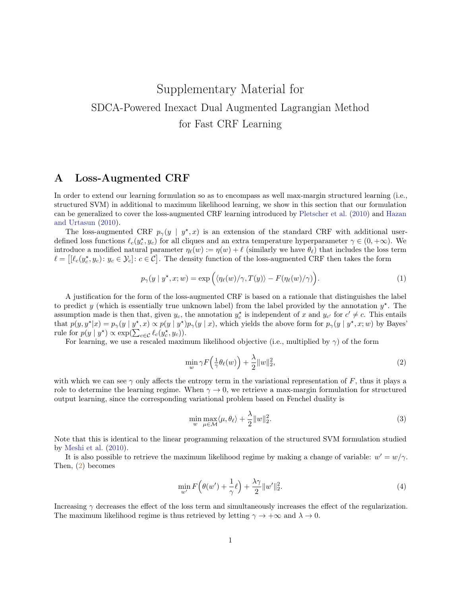# Supplementary Material for SDCA-Powered Inexact Dual Augmented Lagrangian Method for Fast CRF Learning

### A Loss-Augmented CRF

In order to extend our learning formulation so as to encompass as well max-margin structured learning (i.e., structured SVM) in additional to maximum likelihood learning, we show in this section that our formulation can be generalized to cover the loss-augmented CRF learning introduced by [Pletscher et al.](#page-16-0) [\(2010\)](#page-16-0) and [Hazan](#page-15-0) [and Urtasun](#page-15-0) [\(2010\)](#page-15-0).

The loss-augmented CRF  $p_{\gamma}(y \mid y^*, x)$  is an extension of the standard CRF with additional userdefined loss functions  $\ell_c(y_c^*, y_c)$  for all cliques and an extra temperature hyperparameter  $\gamma \in (0, +\infty)$ . We introduce a modified natural parameter  $\eta_{\ell}(w) := \eta(w) + \ell$  (similarly we have  $\theta_{\ell}$ ) that includes the loss term  $\ell = [[\ell_c(y_c^*, y_c): y_c \in \mathcal{Y}_c]: c \in \mathcal{C}]$ . The density function of the loss-augmented CRF then takes the form

$$
p_{\gamma}(y \mid y^{\star}, x; w) = \exp\left(\langle \eta_{\ell}(w) / \gamma, T(y) \rangle - F(\eta_{\ell}(w) / \gamma) \right). \tag{1}
$$

A justification for the form of the loss-augmented CRF is based on a rationale that distinguishes the label to predict y (which is essentially true unknown label) from the label provided by the annotation  $y^*$ . The assumption made is then that, given  $y_c$ , the annotation  $y_c^*$  is independent of x and  $y_{c'}$  for  $c' \neq c$ . This entails that  $p(y, y^*|x) = p_\gamma(y | y^*, x) \propto p(y | y^*) p_\gamma(y | x)$ , which yields the above form for  $p_\gamma(y | y^*, x; w)$  by Bayes' rule for  $p(y | y^{\star}) \propto \exp(\sum_{c \in \mathcal{C}} \ell_c(y_c^{\star}, y_c)).$ 

For learning, we use a rescaled maximum likelihood objective (i.e., multiplied by  $\gamma$ ) of the form

<span id="page-0-0"></span>
$$
\min_{w} \gamma F\left(\frac{1}{\gamma}\theta_{\ell}(w)\right) + \frac{\lambda}{2} \|w\|_{2}^{2},\tag{2}
$$

with which we can see  $\gamma$  only affects the entropy term in the variational representation of F, thus it plays a role to determine the learning regime. When  $\gamma \to 0$ , we retrieve a max-margin formulation for structured output learning, since the corresponding variational problem based on Fenchel duality is

$$
\min_{w} \max_{\mu \in \mathcal{M}} \langle \mu, \theta_{\ell} \rangle + \frac{\lambda}{2} \|w\|_2^2. \tag{3}
$$

Note that this is identical to the linear programming relaxation of the structured SVM formulation studied by [Meshi et al.](#page-15-1) [\(2010\)](#page-15-1).

It is also possible to retrieve the maximum likelihood regime by making a change of variable:  $w' = w/\gamma$ . Then, [\(2\)](#page-0-0) becomes

$$
\min_{w'} F\left(\theta(w') + \frac{1}{\gamma}\ell\right) + \frac{\lambda\gamma}{2} \|w'\|_2^2.
$$
\n(4)

Increasing  $\gamma$  decreases the effect of the loss term and simultaneously increases the effect of the regularization. The maximum likelihood regime is thus retrieved by letting  $\gamma \to +\infty$  and  $\lambda \to 0$ .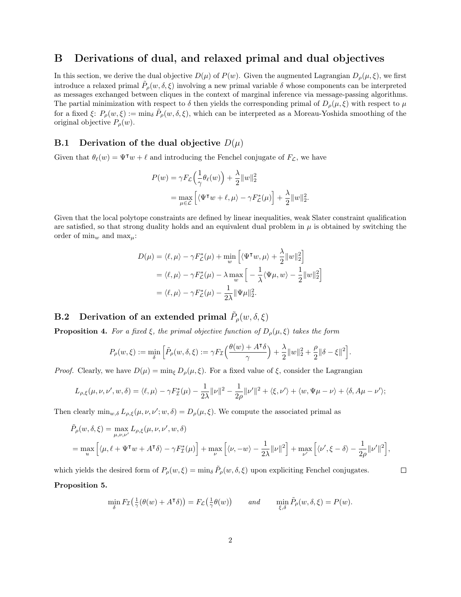### B Derivations of dual, and relaxed primal and dual objectives

In this section, we derive the dual objective  $D(\mu)$  of  $P(\nu)$ . Given the augmented Lagrangian  $D_{\rho}(\mu, \xi)$ , we first introduce a relaxed primal  $\tilde{P}_{\rho}(w,\delta,\xi)$  involving a new primal variable  $\delta$  whose components can be interpreted as messages exchanged between cliques in the context of marginal inference via message-passing algorithms. The partial minimization with respect to  $\delta$  then yields the corresponding primal of  $D_{\rho}(\mu,\xi)$  with respect to  $\mu$ for a fixed  $\xi: P_{\rho}(w,\xi) := \min_{\delta} \tilde{P}_{\rho}(w,\delta,\xi)$ , which can be interpreted as a Moreau-Yoshida smoothing of the original objective  $P_{\rho}(w)$ .

#### B.1 Derivation of the dual objective  $D(\mu)$

Given that  $\theta_{\ell}(w) = \Psi^{\intercal} w + \ell$  and introducing the Fenchel conjugate of  $F_{\mathcal{L}}$ , we have

$$
P(w) = \gamma F_{\mathcal{L}} \left( \frac{1}{\gamma} \theta_{\ell}(w) \right) + \frac{\lambda}{2} ||w||_2^2
$$
  
= 
$$
\max_{\mu \in \mathcal{L}} \left[ \langle \Psi^{\mathsf{T}} w + \ell, \mu \rangle - \gamma F_{\mathcal{L}}^*(\mu) \right] + \frac{\lambda}{2} ||w||_2^2.
$$

Given that the local polytope constraints are defined by linear inequalities, weak Slater constraint qualification are satisfied, so that strong duality holds and an equivalent dual problem in  $\mu$  is obtained by switching the order of  $\min_w$  and  $\max_u$ :

$$
D(\mu) = \langle \ell, \mu \rangle - \gamma F_{\mathcal{L}}^*(\mu) + \min_{w} \left[ \langle \Psi^{\mathsf{T}} w, \mu \rangle + \frac{\lambda}{2} ||w||_2^2 \right]
$$
  
=  $\langle \ell, \mu \rangle - \gamma F_{\mathcal{L}}^*(\mu) - \lambda \max_{w} \left[ -\frac{1}{\lambda} \langle \Psi \mu, w \rangle - \frac{1}{2} ||w||_2^2 \right]$   
=  $\langle \ell, \mu \rangle - \gamma F_{\mathcal{L}}^*(\mu) - \frac{1}{2\lambda} ||\Psi \mu||_2^2.$ 

## **B.2** Derivation of an extended primal  $\tilde{P}_{\rho}(w, \delta, \xi)$

<span id="page-1-0"></span>**Proposition 4.** For a fixed  $\xi$ , the primal objective function of  $D_{\rho}(\mu, \xi)$  takes the form

$$
P_\rho(w,\xi):=\min_\delta\Big[\tilde P_\rho(w,\delta,\xi):=\gamma F_{\mathcal I}\Big(\frac{\theta(w)+A^{\intercal}\delta}{\gamma}\Big)+\frac{\lambda}{2}\|w\|_2^2+\frac{\rho}{2}\|\delta-\xi\|^2\Big].
$$

*Proof.* Clearly, we have  $D(\mu) = \min_{\xi} D_{\rho}(\mu, \xi)$ . For a fixed value of  $\xi$ , consider the Lagrangian

$$
L_{\rho,\xi}(\mu,\nu,\nu',w,\delta) = \langle \ell,\mu \rangle - \gamma F_{\mathcal{I}}^*(\mu) - \frac{1}{2\lambda} ||\nu||^2 - \frac{1}{2\rho} ||\nu'||^2 + \langle \xi,\nu' \rangle + \langle w,\Psi\mu - \nu \rangle + \langle \delta,A\mu - \nu' \rangle;
$$

Then clearly  $\min_{w,\delta} L_{\rho,\xi}(\mu,\nu,\nu';w,\delta) = D_{\rho}(\mu,\xi)$ . We compute the associated primal as

$$
\tilde{P}_{\rho}(w,\delta,\xi) = \max_{\mu,\nu,\nu'} L_{\rho,\xi}(\mu,\nu,\nu',w,\delta)
$$
\n
$$
= \max_{u} \left[ \langle \mu, \ell + \Psi^{\mathsf{T}} w + A^{\mathsf{T}} \delta \rangle - \gamma F_{\mathcal{I}}^{*}(\mu) \right] + \max_{\nu} \left[ \langle \nu, -w \rangle - \frac{1}{2\lambda} ||\nu||^{2} \right] + \max_{\nu'} \left[ \langle \nu', \xi - \delta \rangle - \frac{1}{2\rho} ||\nu'||^{2} \right],
$$

 $\Box$ 

which yields the desired form of  $P_{\rho}(w,\xi) = \min_{\delta} \tilde{P}_{\rho}(w,\delta,\xi)$  upon expliciting Fenchel conjugates. Proposition 5.

$$
\min_{\delta} F_{\mathcal{I}}(\frac{1}{\gamma}(\theta(w) + A^{\mathsf{T}}\delta)) = F_{\mathcal{L}}(\frac{1}{\gamma}\theta(w)) \quad \text{and} \quad \min_{\xi,\delta} \tilde{P}_{\rho}(w,\delta,\xi) = P(w).
$$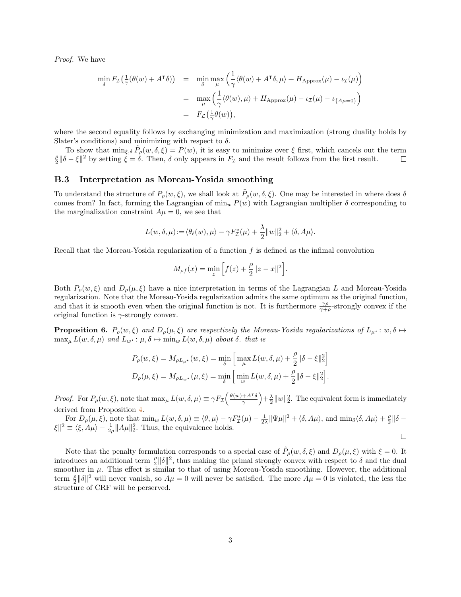Proof. We have

$$
\min_{\delta} F_{\mathcal{I}}(\frac{1}{\gamma}(\theta(w) + A^{\mathsf{T}}\delta)) = \min_{\delta} \max_{\mu} \left( \frac{1}{\gamma} \langle \theta(w) + A^{\mathsf{T}}\delta, \mu \rangle + H_{\text{Approx}}(\mu) - \iota_{\mathcal{I}}(\mu) \right)
$$

$$
= \max_{\mu} \left( \frac{1}{\gamma} \langle \theta(w), \mu \rangle + H_{\text{Approx}}(\mu) - \iota_{\mathcal{I}}(\mu) - \iota_{\{A\mu = 0\}} \right)
$$

$$
= F_{\mathcal{L}}(\frac{1}{\gamma}\theta(w)),
$$

where the second equality follows by exchanging minimization and maximization (strong duality holds by Slater's conditions) and minimizing with respect to  $\delta$ .

To show that  $\min_{\xi, \delta} \tilde{P}_{\rho}(w, \delta, \xi) = P(w)$ , it is easy to minimize over  $\xi$  first, which cancels out the term  $\frac{\rho}{2} \|\delta - \xi\|^2$  by setting  $\xi = \delta$ . Then,  $\delta$  only appears in  $F_{\mathcal{I}}$  and the result follows from the first result.  $\Box$ 

#### B.3 Interpretation as Moreau-Yosida smoothing

To understand the structure of  $P_\rho(w,\xi)$ , we shall look at  $\tilde{P}_\rho(w,\delta,\xi)$ . One may be interested in where does  $\delta$ comes from? In fact, forming the Lagrangian of  $\min_w P(w)$  with Lagrangian multiplier  $\delta$  corresponding to the marginalization constraint  $A\mu = 0$ , we see that

$$
L(w, \delta, \mu) := \langle \theta_{\ell}(w), \mu \rangle - \gamma F_{\mathcal{I}}^*(\mu) + \frac{\lambda}{2} ||w||_2^2 + \langle \delta, A\mu \rangle.
$$

Recall that the Moreau-Yosida regularization of a function  $f$  is defined as the infimal convolution

$$
M_{\rho f}(x) = \min_{z} \left[ f(z) + \frac{\rho}{2} ||z - x||^2 \right].
$$

Both  $P_{\rho}(w,\xi)$  and  $D_{\rho}(\mu,\xi)$  have a nice interpretation in terms of the Lagrangian L and Moreau-Yosida regularization. Note that the Moreau-Yosida regularization admits the same optimum as the original function, and that it is smooth even when the original function is not. It is furthermore  $\frac{\gamma \rho}{\gamma+\rho}$ -strongly convex if the original function is  $\gamma$ -strongly convex.

<span id="page-2-0"></span>**Proposition 6.**  $P_{\rho}(w,\xi)$  and  $D_{\rho}(\mu,\xi)$  are respectively the Moreau-Yosida regularizations of  $L_{\mu^*}: w, \delta \mapsto$  $\max_{\mu} L(w, \delta, \mu)$  and  $L_{w^*}: \mu, \delta \mapsto \min_{w} L(w, \delta, \mu)$  about  $\delta$ . that is

$$
\begin{split} P_{\rho}(w,\xi) &= M_{\rho L_{\mu^{\star}}}(w,\xi) = \min_{\delta} \Big[\max_{\mu} L(w,\delta,\mu) + \frac{\rho}{2} \|\delta - \xi\|_2^2\Big] \\ D_{\rho}(\mu,\xi) &= M_{\rho L_{w^{\star}}}(\mu,\xi) = \min_{\delta} \Big[\min_{w} L(w,\delta,\mu) + \frac{\rho}{2} \|\delta - \xi\|_2^2\Big]. \end{split}
$$

*Proof.* For  $P_{\rho}(w,\xi)$ , note that  $\max_{\mu} L(w,\delta,\mu) \equiv \gamma F_{\mathcal{I}} \left( \frac{\theta(w) + A^{\intercal} \delta}{\gamma} \right)$  $\left(\frac{+A^{\intercal}\delta}{\gamma}\right) + \frac{\lambda}{2} \|w\|_2^2$ . The equivalent form is immediately derived from Proposition [4.](#page-1-0)

For  $D_{\rho}(\mu, \xi)$ , note that  $\min_{w} L(w, \delta, \mu) \equiv \langle \theta, \mu \rangle - \gamma F_{\mathcal{I}}^{*}(\mu) - \frac{1}{2\lambda} ||\Psi \mu||^{2} + \langle \delta, A\mu \rangle$ , and  $\min_{\delta} \langle \delta, A\mu \rangle + \frac{\rho}{2} ||\delta - \mu||^{2}$  $|\xi|^2 \equiv \langle \xi, A\mu \rangle - \frac{1}{2\rho} ||A\mu||_2^2$ . Thus, the equivalence holds.

 $\Box$ 

Note that the penalty formulation corresponds to a special case of  $\tilde{P}_{\rho}(w,\delta,\xi)$  and  $D_{\rho}(\mu,\xi)$  with  $\xi = 0$ . It introduces an additional term  $\frac{\rho}{2} ||\delta||^2$ , thus making the primal strongly convex with respect to  $\delta$  and the dual smoother in  $\mu$ . This effect is similar to that of using Moreau-Yosida smoothing. However, the additional term  $\frac{\rho}{2} ||\delta||^2$  will never vanish, so  $A\mu = 0$  will never be satisfied. The more  $A\mu = 0$  is violated, the less the structure of CRF will be perserved.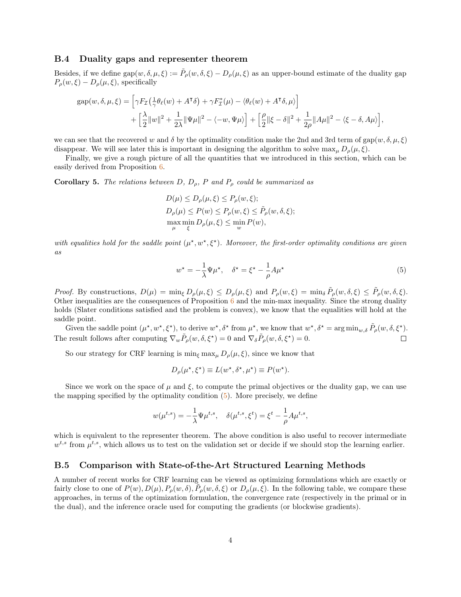#### B.4 Duality gaps and representer theorem

Besides, if we define  $\text{gap}(w, \delta, \mu, \xi) := \tilde{P}_{\rho}(w, \delta, \xi) - D_{\rho}(\mu, \xi)$  as an upper-bound estimate of the duality gap  $P_{\rho}(w,\xi) - D_{\rho}(\mu,\xi)$ , specifically

$$
gap(w, \delta, \mu, \xi) = \left[ \gamma F_{\mathcal{I}}\left(\frac{1}{\gamma} \theta_{\ell}(w) + A^{\mathsf{T}} \delta\right) + \gamma F_{\mathcal{I}}^{*}(\mu) - \langle \theta_{\ell}(w) + A^{\mathsf{T}} \delta, \mu \rangle \right] + \left[ \frac{\lambda}{2} ||w||^{2} + \frac{1}{2\lambda} ||\Psi\mu||^{2} - \langle -w, \Psi\mu \rangle \right] + \left[ \frac{\rho}{2} ||\xi - \delta||^{2} + \frac{1}{2\rho} ||A\mu||^{2} - \langle \xi - \delta, A\mu \rangle \right],
$$

we can see that the recovered w and  $\delta$  by the optimality condition make the 2nd and 3rd term of gap(w,  $\delta, \mu, \xi$ ) disappear. We will see later this is important in designing the algorithm to solve  $\max_{\mu} D_{\rho}(\mu, \xi)$ .

Finally, we give a rough picture of all the quantities that we introduced in this section, which can be easily derived from Proposition [6.](#page-2-0)

<span id="page-3-1"></span>**Corollary 5.** The relations between D,  $D_{\rho}$ , P and  $P_{\rho}$  could be summarized as

$$
D(\mu) \le D_{\rho}(\mu, \xi) \le P_{\rho}(w, \xi);
$$
  
\n
$$
D_{\rho}(\mu) \le P(w) \le P_{\rho}(w, \xi) \le \tilde{P}_{\rho}(w, \delta, \xi);
$$
  
\n
$$
\max_{\mu} \min_{\xi} D_{\rho}(\mu, \xi) \le \min_{w} P(w),
$$

with equalities hold for the saddle point  $(\mu^*, w^*, \xi^*)$ . Moreover, the first-order optimality conditions are given as

<span id="page-3-0"></span>
$$
w^* = -\frac{1}{\lambda} \Psi \mu^*, \quad \delta^* = \xi^* - \frac{1}{\rho} A \mu^* \tag{5}
$$

Proof. By constructions,  $D(\mu) = \min_{\xi} D_{\rho}(\mu, \xi) \le D_{\rho}(\mu, \xi)$  and  $P_{\rho}(w, \xi) = \min_{\delta} \tilde{P}_{\rho}(w, \delta, \xi) \le \tilde{P}_{\rho}(w, \delta, \xi)$ . Other inequalities are the consequences of Proposition  $6$  and the min-max inequality. Since the strong duality holds (Slater conditions satisfied and the problem is convex), we know that the equalities will hold at the saddle point.

Given the saddle point  $(\mu^*, w^*, \xi^*)$ , to derive  $w^*, \delta^*$  from  $\mu^*$ , we know that  $w^*, \delta^* = \arg \min_{w, \delta} \tilde{P}_{\rho}(w, \delta, \xi^*)$ . The result follows after computing  $\nabla_w \tilde{P}_\rho(w, \delta, \xi^*) = 0$  and  $\nabla_\delta \tilde{P}_\rho(w, \delta, \xi^*) = 0$ .  $\Box$ 

So our strategy for CRF learning is  $\min_{\xi} \max_{\mu} D_{\rho}(\mu, \xi)$ , since we know that

$$
D_{\rho}(\mu^*, \xi^*) \equiv L(w^*, \delta^*, \mu^*) \equiv P(w^*).
$$

Since we work on the space of  $\mu$  and  $\xi$ , to compute the primal objectives or the duality gap, we can use the mapping specified by the optimality condition  $(5)$ . More precisely, we define

$$
w(\mu^{t,s}) = -\frac{1}{\lambda} \Psi \mu^{t,s}, \quad \delta(\mu^{t,s}, \xi^t) = \xi^t - \frac{1}{\rho} A \mu^{t,s},
$$

which is equivalent to the representer theorem. The above condition is also useful to recover intermediate  $w^{t,s}$  from  $\mu^{t,s}$ , which allows us to test on the validation set or decide if we should stop the learning earlier.

#### B.5 Comparison with State-of-the-Art Structured Learning Methods

A number of recent works for CRF learning can be viewed as optimizing formulations which are exactly or fairly close to one of  $P(w), D(\mu), P_{\rho}(w, \delta), \tilde{P}_{\rho}(w, \delta, \xi)$  or  $D_{\rho}(\mu, \xi)$ . In the following table, we compare these approaches, in terms of the optimization formulation, the convergence rate (respectively in the primal or in the dual), and the inference oracle used for computing the gradients (or blockwise gradients).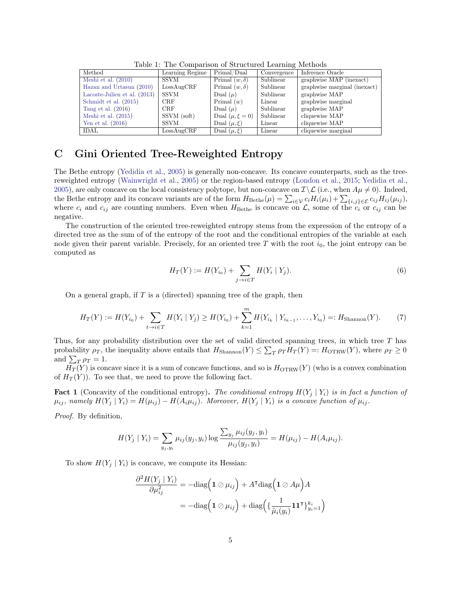| Method                         | Learning Regime | Primal/Dual           | Convergence | Inference Oracle             |
|--------------------------------|-----------------|-----------------------|-------------|------------------------------|
| Meshi et al. $(2010)$          | <b>SSVM</b>     | Primal $(w, \delta)$  | Sublinear   | graphwise MAP (inexact)      |
| Hazan and Urtasun (2010)       | LossAugCRF      | Primal $(w, \delta)$  | Sublinear   | graphwise marginal (inexact) |
| Lacoste-Julien et al. $(2013)$ | <b>SSVM</b>     | Dual $(\mu)$          | Sublinear   | graphwise MAP                |
| Schmidt et al. (2015)          | <b>CRF</b>      | Primal $(w)$          | Linear      | graphwise marginal           |
| Tang et al. $(2016)$           | <b>CRF</b>      | Dual $(\mu)$          | Sublinear   | graphwise MAP                |
| Meshi et al. $(2015)$          | SSVM (soft)     | Dual $(\mu, \xi = 0)$ | Sublinear   | cliquewise MAP               |
| Yen et al. $(2016)$            | <b>SSVM</b>     | Dual $(\mu, \xi)$     | Linear      | cliquewise MAP               |
| IDAL                           | LossAugCRF      | Dual $(\mu, \xi)$     | Linear      | cliquewise marginal          |

Table 1: The Comparison of Structured Learning Methods

### <span id="page-4-0"></span>C Gini Oriented Tree-Reweighted Entropy

The Bethe entropy [\(Yedidia et al.,](#page-16-3) [2005\)](#page-16-3) is generally non-concave. Its concave counterparts, such as the treereweighted entropy [\(Wainwright et al.,](#page-16-4) [2005\)](#page-16-4) or the region-based entropy [\(London et al.,](#page-15-4) [2015;](#page-15-4) [Yedidia et al.,](#page-16-3) [2005\)](#page-16-3), are only concave on the local consistency polytope, but non-concave on  $\mathcal{I}\setminus\mathcal{L}$  (i.e., when  $A\mu\neq 0$ ). Indeed, the Bethe entropy and its concave variants are of the form  $H_{\text{Bethe}}(\mu) = \sum_{i \in \mathcal{V}} c_i H_i(\mu_i) + \sum_{\{i,j\} \in \mathcal{E}} c_{ij} H_{ij}(\mu_{ij}),$ where  $c_i$  and  $c_{ij}$  are counting numbers. Even when  $H_{\text{Bethe}}$  is concave on  $\mathcal{L}$ , some of the  $c_i$  or  $c_{ij}$  can be negative.

The construction of the oriented tree-reweighted entropy stems from the expression of the entropy of a directed tree as the sum of of the entropy of the root and the conditional entropies of the variable at each node given their parent variable. Precisely, for an oriented tree  $T$  with the root  $i_0$ , the joint entropy can be computed as

$$
H_T(Y) := H(Y_{i_0}) + \sum_{j \to i \in T} H(Y_i \mid Y_j).
$$
\n(6)

On a general graph, if  $T$  is a (directed) spanning tree of the graph, then

$$
H_T(Y) := H(Y_{i_0}) + \sum_{t \to i \in T} H(Y_i \mid Y_j) \ge H(Y_{i_0}) + \sum_{k=1}^m H(Y_{i_k} \mid Y_{i_{k-1}}, \dots, Y_{i_0}) =: H_{\text{Shannon}}(Y). \tag{7}
$$

Thus, for any probability distribution over the set of valid directed spanning trees, in which tree T has probability  $\rho_T$ , the inequality above entails that  $H_{\text{Shannon}}(Y) \leq \sum_T \rho_T H_T(Y) =: H_{\text{OTRW}}(Y)$ , where  $\rho_T \geq 0$ and  $\sum_{T} \rho_T = 1$ .

 $\overline{H_T}(Y)$  is concave since it is a sum of concave functions, and so is  $H_{\text{OTRW}}(Y)$  (who is a convex combination of  $H_T(Y)$ ). To see that, we need to prove the following fact.

**Fact 1** (Concavity of the conditional entropy). The conditional entropy  $H(Y_i | Y_i)$  is in fact a function of  $\mu_{ij}$ , namely  $H(Y_j | Y_i) = H(\mu_{ij}) - H(A_i \mu_{ij})$ . Moreover,  $H(Y_j | Y_i)$  is a concave function of  $\mu_{ij}$ .

Proof. By definition,

$$
H(Y_j | Y_i) = \sum_{y_j, y_i} \mu_{ij}(y_j, y_i) \log \frac{\sum_{y_j} \mu_{ij}(y_j, y_i)}{\mu_{ij}(y_j, y_i)} = H(\mu_{ij}) - H(A_i \mu_{ij}).
$$

To show  $H(Y_i | Y_i)$  is concave, we compute its Hessian:

$$
\frac{\partial^2 H(Y_j \mid Y_i)}{\partial \mu_{ij}^2} = -\text{diag}\left(\mathbf{1} \oslash \mu_{ij}\right) + A^{\mathsf{T}} \text{diag}\left(\mathbf{1} \oslash A\mu\right) A
$$

$$
= -\text{diag}\left(\mathbf{1} \oslash \mu_{ij}\right) + \text{diag}\left(\left\{\frac{1}{\tilde{\mu}_i(y_i)}\mathbf{1}\mathbf{1}^{\mathsf{T}}\right\}_{y_i=1}^{k_i}\right)
$$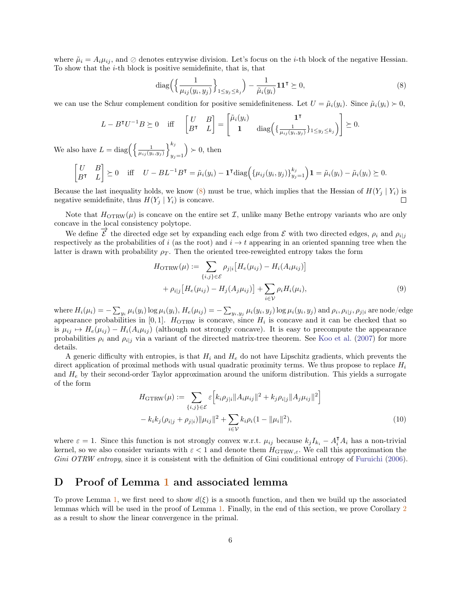where  $\tilde{\mu}_i = A_i \mu_{ij}$ , and  $\oslash$  denotes entrywise division. Let's focus on the *i*-th block of the negative Hessian. To show that the i-th block is positive semidefinite, that is, that

<span id="page-5-0"></span>
$$
\operatorname{diag}\left(\left\{\frac{1}{\mu_{ij}(y_i, y_j)}\right\}_{1\leq y_j\leq k_j}\right) - \frac{1}{\tilde{\mu}_i(y_i)}\mathbf{1}\mathbf{1}^\mathsf{T} \succeq 0,\tag{8}
$$

we can use the Schur complement condition for positive semidefiniteness. Let  $U = \tilde{\mu}_i(y_i)$ . Since  $\tilde{\mu}_i(y_i) > 0$ ,

$$
L - BTU-1B \succeq 0 \quad \text{iff} \quad \begin{bmatrix} U & B \\ BT & L \end{bmatrix} = \begin{bmatrix} \tilde{\mu}_i(y_i) & \mathbf{1}^{\mathsf{T}} \\ \mathbf{1} & \text{diag}\left(\{\frac{1}{\mu_{ij}(y_i, y_j)}\}_{1 \le y_j \le k_j}\right) \end{bmatrix} \succeq 0.
$$

We also have  $L = \text{diag}\left(\left\{\frac{1}{\mu_{ij}(y_i, y_j)}\right\}_{i,j=1}^{k_j}\right)$  $y_j=1$  $\geq 0$ , then

$$
\begin{bmatrix} U & B \\ B^{\intercal} & L \end{bmatrix} \succeq 0 \quad \text{iff} \quad U - BL^{-1}B^{\intercal} = \tilde{\mu}_i(y_i) - \mathbf{1}^{\intercal} \text{diag}\Big(\{\mu_{ij}(y_i, y_j)\}_{y_j=1}^{k_j}\Big) \mathbf{1} = \tilde{\mu}_i(y_i) - \tilde{\mu}_i(y_i) \succeq 0.
$$

Because the last inequality holds, we know [\(8\)](#page-5-0) must be true, which implies that the Hessian of  $H(Y_i | Y_i)$  is negative semidefinite, thus  $H(Y_i | Y_i)$  is concave. П

Note that  $H_{\text{OTRW}}(\mu)$  is concave on the entire set  $\mathcal{I}$ , unlike many Bethe entropy variants who are only concave in the local consistency polytope.

We define  $\vec{\mathcal{E}}$  the directed edge set by expanding each edge from  $\mathcal E$  with two directed edges,  $\rho_i$  and  $\rho_{i|j}$ respectively as the probabilities of i (as the root) and  $i \rightarrow t$  appearing in an oriented spanning tree when the latter is drawn with probability  $\rho_T$ . Then the oriented tree-reweighted entropy takes the form

$$
H_{\text{OTRW}}(\mu) := \sum_{\{i,j\} \in \mathcal{E}} \rho_{j|i} \left[ H_e(\mu_{ij}) - H_i(A_i \mu_{ij}) \right] + \rho_{i|j} \left[ H_e(\mu_{ij}) - H_j(A_j \mu_{ij}) \right] + \sum_{i \in \mathcal{V}} \rho_i H_i(\mu_i),
$$
(9)

where  $H_i(\mu_i)=-\sum_{y_i}\mu_i(y_i)\log\mu_i(y_i),$   $H_e(\mu_{ij})=-\sum_{y_i,y_j}\mu_i(y_i,y_j)\log\mu_i(y_i,y_j)$  and  $\rho_i,\rho_{i|j},\rho_{j|i}$  are node/edge appearance probabilities in [0,1].  $H_{\text{OTRW}}$  is concave, since  $H_i$  is concave and it can be checked that so is  $\mu_{ij} \mapsto H_e(\mu_{ij}) - H_i(A_i\mu_{ij})$  (although not strongly concave). It is easy to precompute the appearance probabilities  $\rho_i$  and  $\rho_{i|j}$  via a variant of the directed matrix-tree theorem. See [Koo et al.](#page-15-5) [\(2007\)](#page-15-5) for more details.

A generic difficulty with entropies, is that  $H_i$  and  $H_e$  do not have Lipschitz gradients, which prevents the direct application of proximal methods with usual quadratic proximity terms. We thus propose to replace  $H_i$ and  $H<sub>e</sub>$  by their second-order Taylor approximation around the uniform distribution. This yields a surrogate of the form

$$
H_{\text{GTRW}}(\mu) := \sum_{\{i,j\} \in \mathcal{E}} \varepsilon \Big[ k_i \rho_{j|i} \|A_i \mu_{ij}\|^2 + k_j \rho_{i|j} \|A_j \mu_{ij}\|^2 \Big] - k_i k_j (\rho_{i|j} + \rho_{j|i}) \| \mu_{ij}\|^2 + \sum_{i \in \mathcal{V}} k_i \rho_i (1 - \|\mu_i\|^2),
$$
\n(10)

where  $\varepsilon = 1$ . Since this function is not strongly convex w.r.t.  $\mu_{ij}$  because  $k_j I_{k_i} - A_i^{\dagger} A_i$  has a non-trivial kernel, so we also consider variants with  $\varepsilon < 1$  and denote them  $H_{\text{GTRW},\varepsilon}$ . We call this approximation the Gini OTRW entropy, since it is consistent with the definition of Gini conditional entropy of [Furuichi](#page-15-6) [\(2006\)](#page-15-6).

### D Proof of Lemma [1](#page-8-0) and associated lemma

To prove Lemma [1,](#page-8-0) we first need to show  $d(\xi)$  is a smooth function, and then we build up the associated lemmas which will be used in the proof of Lemma [1.](#page-8-0) Finally, in the end of this section, we prove Corollary [2](#page-14-0) as a result to show the linear convergence in the primal.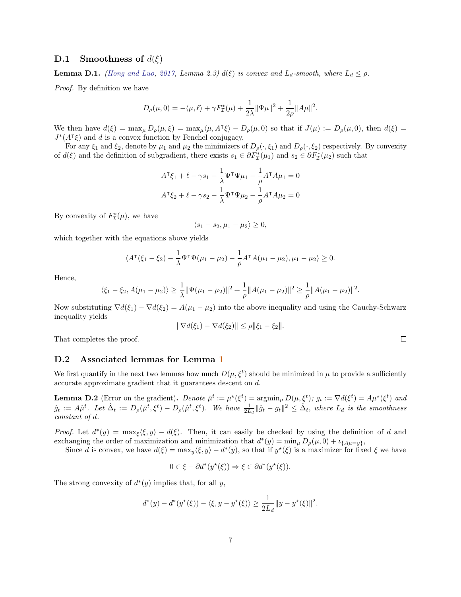#### <span id="page-6-1"></span>D.1 Smoothness of  $d(\xi)$

<span id="page-6-2"></span>**Lemma D.1.** [\(Hong and Luo,](#page-15-7) [2017,](#page-15-7) Lemma 2.3)  $d(\xi)$  is convex and  $L_d$ -smooth, where  $L_d \leq \rho$ .

Proof. By definition we have

$$
D_{\rho}(\mu,0) = -\langle \mu, \ell \rangle + \gamma F_{\mathcal{I}}^{*}(\mu) + \frac{1}{2\lambda} \|\Psi\mu\|^{2} + \frac{1}{2\rho} \|A\mu\|^{2}.
$$

We then have  $d(\xi) = \max_{\mu} D_{\rho}(\mu, \xi) = \max_{\mu} \langle \mu, A^{\dagger} \xi \rangle - D_{\rho}(\mu, 0)$  so that if  $J(\mu) := D_{\rho}(\mu, 0)$ , then  $d(\xi) =$  $J^*(A^{\dagger}\xi)$  and d is a convex function by Fenchel conjugacy.

For any  $\xi_1$  and  $\xi_2$ , denote by  $\mu_1$  and  $\mu_2$  the minimizers of  $D_\rho(\cdot,\xi_1)$  and  $D_\rho(\cdot,\xi_2)$  respectively. By convexity of  $d(\xi)$  and the definition of subgradient, there exists  $s_1 \in \partial F_{\mathcal{I}}^*(\mu_1)$  and  $s_2 \in \partial F_{\mathcal{I}}^*(\mu_2)$  such that

$$
A^{\mathsf{T}}\xi_1 + \ell - \gamma s_1 - \frac{1}{\lambda} \Psi^{\mathsf{T}} \Psi \mu_1 - \frac{1}{\rho} A^{\mathsf{T}} A \mu_1 = 0
$$
  

$$
A^{\mathsf{T}}\xi_2 + \ell - \gamma s_2 - \frac{1}{\lambda} \Psi^{\mathsf{T}} \Psi \mu_2 - \frac{1}{\rho} A^{\mathsf{T}} A \mu_2 = 0
$$

By convexity of  $F^*_{\mathcal{I}}(\mu)$ , we have

$$
\langle s_1 - s_2, \mu_1 - \mu_2 \rangle \ge 0,
$$

which together with the equations above yields

$$
\langle A^{\mathsf{T}}(\xi_1 - \xi_2) - \frac{1}{\lambda} \Psi^{\mathsf{T}} \Psi(\mu_1 - \mu_2) - \frac{1}{\rho} A^{\mathsf{T}} A(\mu_1 - \mu_2), \mu_1 - \mu_2 \rangle \ge 0.
$$

Hence,

$$
\langle \xi_1 - \xi_2, A(\mu_1 - \mu_2) \rangle \ge \frac{1}{\lambda} \|\Psi(\mu_1 - \mu_2)\|^2 + \frac{1}{\rho} \|A(\mu_1 - \mu_2)\|^2 \ge \frac{1}{\rho} \|A(\mu_1 - \mu_2)\|^2.
$$

Now substituting  $\nabla d(\xi_1) - \nabla d(\xi_2) = A(\mu_1 - \mu_2)$  into the above inequality and using the Cauchy-Schwarz inequality yields

$$
\|\nabla d(\xi_1) - \nabla d(\xi_2)\| \le \rho \|\xi_1 - \xi_2\|.
$$

That completes the proof.

#### D.2 Associated lemmas for Lemma [1](#page-8-0)

We first quantify in the next two lemmas how much  $D(\mu, \xi^t)$  should be minimized in  $\mu$  to provide a sufficiently accurate approximate gradient that it guarantees descent on d.

<span id="page-6-0"></span>**Lemma D.2** (Error on the gradient). Denote  $\bar{\mu}^t := \mu^*(\xi^t) = \operatorname{argmin}_{\mu} D(\mu, \xi^t)$ ;  $g_t := \nabla d(\xi^t) = A\mu^*(\xi^t)$  and  $\hat{g}_t := A\hat{\mu}^t$ . Let  $\hat{\Delta}_t := D_\rho(\bar{\mu}^t, \xi^t) - D_\rho(\hat{\mu}^t, \xi^t)$ . We have  $\frac{1}{2L_d} \|\hat{g}_t - g_t\|^2 \leq \hat{\Delta}_t$ , where  $L_d$  is the smoothness constant of d.

Proof. Let  $d^*(y) = \max_{\xi} \langle \xi, y \rangle - d(\xi)$ . Then, it can easily be checked by using the definition of d and exchanging the order of maximization and minimization that  $d^*(y) = \min_{\mu} D_{\rho}(\mu, 0) + \iota_{\{A\mu = y\}},$ 

Since d is convex, we have  $d(\xi) = \max_y \langle \xi, y \rangle - d^*(y)$ , so that if  $y^*(\xi)$  is a maximizer for fixed  $\xi$  we have

$$
0 \in \xi - \partial d^*(y^\star(\xi)) \Rightarrow \xi \in \partial d^*(y^\star(\xi)).
$$

The strong convexity of  $d^*(y)$  implies that, for all y,

$$
d^*(y) - d^*(y^*(\xi)) - \langle \xi, y - y^*(\xi) \rangle \ge \frac{1}{2L_d} \|y - y^*(\xi)\|^2.
$$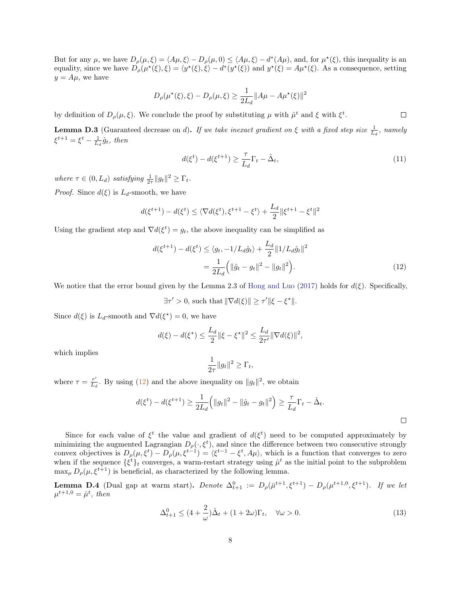But for any  $\mu$ , we have  $D_{\rho}(\mu, \xi) = \langle A\mu, \xi \rangle - D_{\rho}(\mu, 0) \le \langle A\mu, \xi \rangle - d^*(A\mu)$ , and, for  $\mu^*(\xi)$ , this inequality is an equality, since we have  $D_{\rho}(\mu^*(\xi), \xi) = \langle y^*(\xi), \xi \rangle - d^*(y^*(\xi))$  and  $y^*(\xi) = A\mu^*(\xi)$ . As a consequence, setting  $y = A\mu$ , we have

$$
D_{\rho}(\mu^*(\xi), \xi) - D_{\rho}(\mu, \xi) \ge \frac{1}{2L_d} ||A\mu - A\mu^*(\xi)||^2
$$

by definition of  $D_{\rho}(\mu,\xi)$ . We conclude the proof by substituting  $\mu$  with  $\hat{\mu}^t$  and  $\xi$  with  $\xi^t$ .

<span id="page-7-1"></span>**Lemma D.3** (Guaranteed decrease on d). If we take inexact gradient on  $\xi$  with a fixed step size  $\frac{1}{L_d}$ , namely  $\xi^{t+1} = \xi^t - \frac{1}{L_d} \hat{g}_t$ , then

$$
d(\xi^t) - d(\xi^{t+1}) \ge \frac{\tau}{L_d} \Gamma_t - \hat{\Delta}_t,\tag{11}
$$

where  $\tau \in (0, L_d)$  satisfying  $\frac{1}{2\tau} ||g_t||^2 \geq \Gamma_t$ .

*Proof.* Since  $d(\xi)$  is  $L_d$ -smooth, we have

$$
d(\xi^{t+1}) - d(\xi^t) \le \langle \nabla d(\xi^t), \xi^{t+1} - \xi^t \rangle + \frac{L_d}{2} ||\xi^{t+1} - \xi^t||^2
$$

Using the gradient step and  $\nabla d(\xi^t) = g_t$ , the above inequality can be simplified as

$$
d(\xi^{t+1}) - d(\xi^t) \le \langle g_t, -1/L_d \hat{g}_t \rangle + \frac{L_d}{2} ||1/L_d \hat{g}_t||^2
$$
  
= 
$$
\frac{1}{2L_d} (||\hat{g}_t - g_t||^2 - ||g_t||^2).
$$
 (12)

We notice that the error bound given by the Lemma 2.3 of [Hong and Luo](#page-15-7) [\(2017\)](#page-15-7) holds for  $d(\xi)$ . Specifically,

 $\exists \tau' > 0$ , such that  $\|\nabla d(\xi)\| \geq \tau' \|\xi - \xi^{\star}\|.$ 

Since  $d(\xi)$  is  $L_d$ -smooth and  $\nabla d(\xi^*) = 0$ , we have

$$
d(\xi) - d(\xi^*) \le \frac{L_d}{2} \|\xi - \xi^*\|^2 \le \frac{L_d}{2\tau'} \|\nabla d(\xi)\|^2,
$$

which implies

<span id="page-7-0"></span>
$$
\frac{1}{2\tau} \|g_t\|^2 \ge \Gamma_t,
$$

where  $\tau = \frac{\tau'}{L}$  $\frac{\tau'}{L_d}$ . By using [\(12\)](#page-7-0) and the above inequality on  $||g_t||^2$ , we obtain

$$
d(\xi^t) - d(\xi^{t+1}) \ge \frac{1}{2L_d} (||g_t||^2 - ||\hat{g}_t - g_t||^2) \ge \frac{\tau}{L_d} \Gamma_t - \hat{\Delta}_t.
$$

Since for each value of  $\xi^t$  the value and gradient of  $d(\xi^t)$  need to be computed approximately by minimizing the augmented Lagrangian  $D_{\rho}(\cdot,\xi^t)$ , and since the difference between two consecutive strongly convex objectives is  $D_{\rho}(\mu, \xi^t) - D_{\rho}(\mu, \xi^{t-1}) = \langle \xi^{t-1} - \xi^t, A\mu \rangle$ , which is a function that converges to zero when if the sequence  $\{\xi^t\}_t$  converges, a warm-restart strategy using  $\hat{\mu}^t$  as the initial point to the subproblem  $\max_{\mu} D_{\rho}(\mu, \xi^{t+1})$  is beneficial, as characterized by the following lemma.

<span id="page-7-2"></span>**Lemma D.4** (Dual gap at warm start). Denote  $\Delta_{t+1}^0 := D_\rho(\bar{\mu}^{t+1}, \xi^{t+1}) - D_\rho(\mu^{t+1,0}, \xi^{t+1})$ . If we let  $\mu^{t+1,0} = \hat{\mu}^t$ , then

$$
\Delta_{t+1}^0 \le (4 + \frac{2}{\omega})\hat{\Delta}_t + (1 + 2\omega)\Gamma_t, \quad \forall \omega > 0.
$$
\n(13)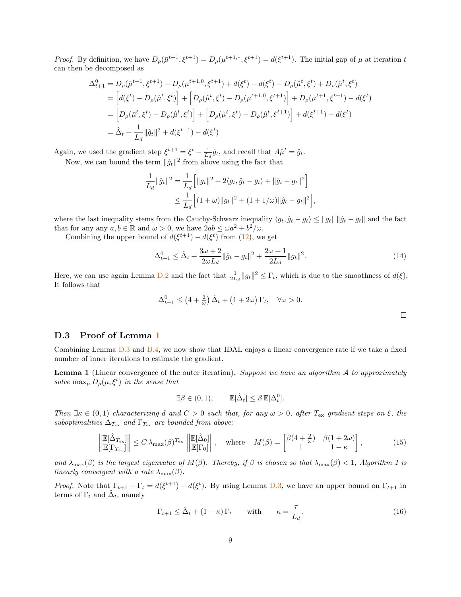*Proof.* By definition, we have  $D_{\rho}(\bar{\mu}^{t+1}, \xi^{t+1}) = D_{\rho}(\mu^{t+1,*}, \xi^{t+1}) = d(\xi^{t+1})$ . The initial gap of  $\mu$  at iteration t can then be decomposed as

$$
\Delta_{t+1}^{0} = D_{\rho}(\bar{\mu}^{t+1}, \xi^{t+1}) - D_{\rho}(\mu^{t+1,0}, \xi^{t+1}) + d(\xi^{t}) - d(\xi^{t}) - D_{\rho}(\hat{\mu}^{t}, \xi^{t}) + D_{\rho}(\hat{\mu}^{t}, \xi^{t})
$$
\n
$$
= \left[ d(\xi^{t}) - D_{\rho}(\hat{\mu}^{t}, \xi^{t}) \right] + \left[ D_{\rho}(\hat{\mu}^{t}, \xi^{t}) - D_{\rho}(\mu^{t+1,0}, \xi^{t+1}) \right] + D_{\rho}(\bar{\mu}^{t+1}, \xi^{t+1}) - d(\xi^{t})
$$
\n
$$
= \left[ D_{\rho}(\bar{\mu}^{t}, \xi^{t}) - D_{\rho}(\hat{\mu}^{t}, \xi^{t}) \right] + \left[ D_{\rho}(\hat{\mu}^{t}, \xi^{t}) - D_{\rho}(\hat{\mu}^{t}, \xi^{t+1}) \right] + d(\xi^{t+1}) - d(\xi^{t})
$$
\n
$$
= \hat{\Delta}_{t} + \frac{1}{L_{d}} \|\hat{g}_{t}\|^{2} + d(\xi^{t+1}) - d(\xi^{t})
$$

Again, we used the gradient step  $\xi^{t+1} = \xi^t - \frac{1}{L_d} \hat{g}_t$ , and recall that  $A\hat{\mu}^t = \hat{g}_t$ . Now, we can bound the term  $\|\hat{g}_t\|^2$  from above using the fact that

$$
\frac{1}{L_d} \|\hat{g}_t\|^2 = \frac{1}{L_d} \Big[ \|g_t\|^2 + 2\langle g_t, \hat{g}_t - g_t \rangle + \|\hat{g}_t - g_t\|^2 \Big] \n\leq \frac{1}{L_d} \Big[ (1 + \omega) \|g_t\|^2 + (1 + 1/\omega) \|\hat{g}_t - g_t\|^2 \Big]
$$

where the last inequality stems from the Cauchy-Schwarz inequality  $\langle g_t, \hat{g}_t - g_t \rangle \le ||g_t|| \, ||\hat{g}_t - g_t||$  and the fact that for any any  $a, b \in \mathbb{R}$  and  $\omega > 0$ , we have  $2ab \leq \omega a^2 + b^2/\omega$ .

Combining the upper bound of  $d(\xi^{t+1}) - d(\xi^t)$  from [\(12\)](#page-7-0), we get

$$
\Delta_{t+1}^{0} \leq \hat{\Delta}_{t} + \frac{3\omega + 2}{2\omega L_d} \|\hat{g}_t - g_t\|^2 + \frac{2\omega + 1}{2L_d} \|g_t\|^2.
$$
\n(14)

,

Here, we can use again Lemma  $D.2$  and the fact that  $\frac{1}{2L_d} ||g_t||^2 \leq \Gamma_t$ , which is due to the smoothness of  $d(\xi)$ . It follows that

$$
\Delta_{t+1}^0 \le \left(4 + \frac{2}{\omega}\right) \hat{\Delta}_t + \left(1 + 2\omega\right) \Gamma_t, \quad \forall \omega > 0.
$$

#### D.3 Proof of Lemma [1](#page-8-0)

Combining Lemma [D.3](#page-7-1) and [D.4,](#page-7-2) we now show that IDAL enjoys a linear convergence rate if we take a fixed number of inner iterations to estimate the gradient.

<span id="page-8-0"></span>**Lemma 1** (Linear convergence of the outer iteration). Suppose we have an algorithm  $A$  to approximately solve  $\max_{\mu} D_{\rho}(\mu, \xi^t)$  in the sense that

$$
\exists \beta \in (0,1), \qquad \mathbb{E}[\hat{\Delta}_t] \leq \beta \, \mathbb{E}[\Delta_t^0].
$$

Then  $\exists \kappa \in (0,1)$  characterizing d and  $C > 0$  such that, for any  $\omega > 0$ , after  $T_{\text{ex}}$  gradient steps on  $\xi$ , the suboptimalities  $\Delta_{T_{\text{ex}}}$  and  $\Gamma_{T_{\text{ex}}}$  are bounded from above:

$$
\left\| \frac{\mathbb{E}[\hat{\Delta}_{T_{\text{ex}}}]}{\mathbb{E}[\Gamma_{T_{\text{ex}}}]} \right\| \le C \lambda_{\text{max}}(\beta)^{T_{\text{ex}}} \left\| \frac{\mathbb{E}[\hat{\Delta}_0]}{\mathbb{E}[\Gamma_0]} \right\|, \quad \text{where} \quad M(\beta) = \begin{bmatrix} \beta(4 + \frac{2}{\omega}) & \beta(1 + 2\omega) \\ 1 & 1 - \kappa \end{bmatrix}, \tag{15}
$$

and  $\lambda_{\max}(\beta)$  is the largest eigenvalue of  $M(\beta)$ . Thereby, if  $\beta$  is chosen so that  $\lambda_{\max}(\beta) < 1$ , Algorithm 1 is linearly convergent with a rate  $\lambda_{\max}(\beta)$ .

*Proof.* Note that  $\Gamma_{t+1} - \Gamma_t = d(\xi^{t+1}) - d(\xi^t)$ . By using Lemma [D.3,](#page-7-1) we have an upper bound on  $\Gamma_{t+1}$  in terms of  $\Gamma_t$  and  $\hat{\Delta}_t$ , namely

<span id="page-8-1"></span>
$$
\Gamma_{t+1} \leq \hat{\Delta}_t + (1 - \kappa)\Gamma_t \quad \text{with} \quad \kappa = \frac{\tau}{L_d}.\tag{16}
$$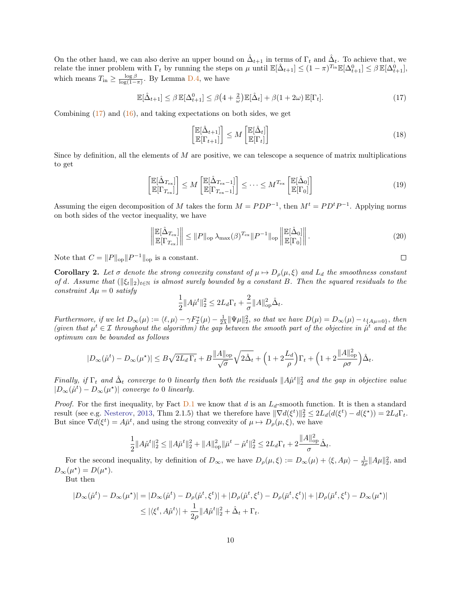On the other hand, we can also derive an upper bound on  $\hat{\Delta}_{t+1}$  in terms of  $\Gamma_t$  and  $\hat{\Delta}_t$ . To achieve that, we relate the inner problem with  $\Gamma_t$  by running the steps on  $\mu$  until  $\mathbb{E}[\hat{\Delta}_{t+1}] \leq (1-\pi)^{T_{\text{in}}} \mathbb{E}[\Delta^0_{t+1}] \leq \beta \mathbb{E}[\Delta^0_{t+1}]$ , which means  $T_{\text{in}} \ge \frac{\log \beta}{\log(1-\pi)}$ . By Lemma [D.4,](#page-7-2) we have

$$
\mathbb{E}[\hat{\Delta}_{t+1}] \le \beta \mathbb{E}[\Delta_{t+1}^0] \le \beta \left(4 + \frac{2}{\omega}\right) \mathbb{E}[\hat{\Delta}_t] + \beta \left(1 + 2\omega\right) \mathbb{E}[\Gamma_t].\tag{17}
$$

Combining  $(17)$  and  $(16)$ , and taking expectations on both sides, we get

<span id="page-9-0"></span>
$$
\begin{aligned} \left[\mathbb{E}[\hat{\Delta}_{t+1}]\right] &\leq M \left[\mathbb{E}[\hat{\Delta}_t]\right] \\ \mathbb{E}[\Gamma_{t+1}] \end{aligned} \tag{18}
$$

Since by definition, all the elements of M are positive, we can telescope a sequence of matrix multiplications to get

$$
\begin{aligned} \left[\mathbb{E}[\hat{\Delta}_{T_{\text{ex}}}] \right] &\leq M \begin{bmatrix} \mathbb{E}[\hat{\Delta}_{T_{\text{ex}}-1}] \\ \mathbb{E}[\Gamma_{T_{\text{ex}}-1}] \end{bmatrix} \leq \cdots \leq M^{T_{\text{ex}}} \begin{bmatrix} \mathbb{E}[\hat{\Delta}_0] \\ \mathbb{E}[\Gamma_0] \end{bmatrix} \end{aligned} \tag{19}
$$

Assuming the eigen decomposition of M takes the form  $M = PDP^{-1}$ , then  $M^t = PD^tP^{-1}$ . Applying norms on both sides of the vector inequality, we have

$$
\left\| \frac{\mathbb{E}[\hat{\Delta}_{T_{\text{ex}}}]}{\mathbb{E}[\Gamma_{T_{\text{ex}}}]} \right\| \leq \|P\|_{\text{op}} \lambda_{\text{max}}(\beta)^{T_{\text{ex}}} \|P^{-1}\|_{\text{op}} \left\| \frac{\mathbb{E}[\hat{\Delta}_0]}{\mathbb{E}[\Gamma_0]} \right\|.
$$
\n(20)

Note that  $C = ||P||_{op} ||P^{-1}||_{op}$  is a constant.

**Corollary 2.** Let  $\sigma$  denote the strong convexity constant of  $\mu \mapsto D_{\rho}(\mu, \xi)$  and  $L_d$  the smoothness constant of d. Assume that  $(\|\xi_t\|_2)_{t\in\mathbb{N}}$  is almost surely bounded by a constant B. Then the squared residuals to the constraint  $A\mu = 0$  satisfy

$$
\frac{1}{2} ||A\hat{\mu}^t||_2^2 \le 2L_d \Gamma_t + \frac{2}{\sigma} ||A||_{\text{op}}^2 \hat{\Delta}_t.
$$

Furthermore, if we let  $D_{\infty}(\mu) := \langle \ell, \mu \rangle - \gamma F_{\mathcal{I}}^{*}(\mu) - \frac{1}{2\lambda} \|\Psi\mu\|_{2}^{2}$ , so that we have  $D(\mu) = D_{\infty}(\mu) - \iota_{\{A\mu=0\}}$ , then (given that  $\mu^t \in \mathcal{I}$  throughout the algorithm) the gap between the smooth part of the objective in  $\hat{\mu}^t$  and at the optimum can be bounded as follows

$$
|D_{\infty}(\hat{\mu}^t) - D_{\infty}(\mu^{\star})| \le B\sqrt{2L_d\,\Gamma_t} + B\frac{\|A\|_{\text{op}}}{\sqrt{\sigma}}\sqrt{2\hat{\Delta}_t} + \left(1 + 2\frac{L_d}{\rho}\right)\Gamma_t + \left(1 + 2\frac{\|A\|_{\text{op}}^2}{\rho\sigma}\right)\hat{\Delta}_t.
$$

Finally, if  $\Gamma_t$  and  $\hat{\Delta}_t$  converge to 0 linearly then both the residuals  $||A\hat{\mu}^t||_2^2$  and the gap in objective value  $|D_{\infty}(\hat{\mu}^t) - D_{\infty}(\mu^{\star})|$  converge to 0 linearly.

*Proof.* For the first inequality, by Fact  $D.1$  we know that d is an  $L_d$ -smooth function. It is then a standard result (see e.g. [Nesterov,](#page-15-8) [2013,](#page-15-8) Thm 2.1.5) that we therefore have  $\|\nabla d(\xi^t)\|_2^2 \le 2L_d(d(\xi^t) - d(\xi^{\star})) = 2L_d\Gamma_t$ . But since  $\nabla d(\xi^t) = A\overline{\mu}^t$ , and using the strong convexity of  $\mu \mapsto D_\rho(\mu, \xi)$ , we have

$$
\frac{1}{2} \|A\hat{\mu}^t\|_2^2 \le \|A\bar{\mu}^t\|_2^2 + \|A\|_{\mathrm{op}}^2 \|\bar{\mu}^t - \hat{\mu}^t\|_2^2 \le 2L_d \Gamma_t + 2\frac{\|A\|_{\mathrm{op}}^2}{\sigma} \hat{\Delta}_t.
$$

For the second inequality, by definition of  $D_{\infty}$ , we have  $D_{\rho}(\mu,\xi) := D_{\infty}(\mu) + \langle \xi, A\mu \rangle - \frac{1}{2\rho} ||A\mu||_2^2$ , and  $D_{\infty}(\mu^*) = D(\mu^*).$ 

But then

$$
|D_{\infty}(\hat{\mu}^t) - D_{\infty}(\mu^*)| = |D_{\infty}(\hat{\mu}^t) - D_{\rho}(\hat{\mu}^t, \xi^t)| + |D_{\rho}(\hat{\mu}^t, \xi^t) - D_{\rho}(\bar{\mu}^t, \xi^t)| + |D_{\rho}(\bar{\mu}^t, \xi^t) - D_{\infty}(\mu^*)|
$$
  

$$
\leq |\langle \xi^t, A\hat{\mu}^t \rangle| + \frac{1}{2\rho} \|A\hat{\mu}^t\|_2^2 + \hat{\Delta}_t + \Gamma_t.
$$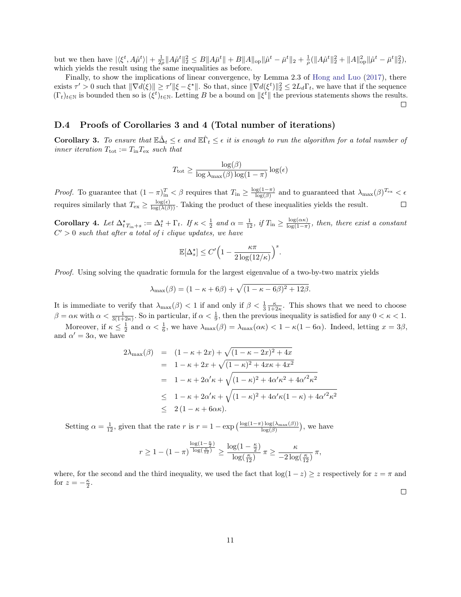but we then have  $|\langle \xi^t, A\hat{\mu}^t \rangle| + \frac{1}{2\rho} \|A\hat{\mu}^t\|_2^2 \leq B \|A\bar{\mu}^t\| + B \|A\|_{\text{op}} \|\hat{\mu}^t - \bar{\mu}^t\|_2 + \frac{1}{\rho} (\|A\hat{\mu}^t\|_2^2 + \|A\|_{\text{op}}^2 \|\hat{\mu}^t - \bar{\mu}^t\|_2^2),$ which yields the result using the same inequalities as before.

Finally, to show the implications of linear convergence, by Lemma 2.3 of [Hong and Luo](#page-15-7) [\(2017\)](#page-15-7), there exists  $\tau' > 0$  such that  $\|\nabla d(\xi)\| \geq \tau' \|\xi - \xi^*\|$ . So that, since  $\|\nabla d(\xi^t)\|_2^2 \leq 2L_d\Gamma_t$ , we have that if the sequence  $(\Gamma_t)_{t\in\mathbb{N}}$  is bounded then so is  $(\xi^t)_{t\in\mathbb{N}}$ . Letting B be a bound on  $\|\xi^t\|$  the previous statements shows the results.

#### D.4 Proofs of Corollaries 3 and 4 (Total number of iterations)

**Corollary 3.** To ensure that  $\mathbb{E}\hat{\Delta}_t \leq \epsilon$  and  $\mathbb{E}\hat{\Gamma}_t \leq \epsilon$  it is enough to run the algorithm for a total number of inner iteration  $T_{\text{tot}} := T_{\text{in}} T_{\text{ex}}$  such that

$$
T_{\text{tot}} \ge \frac{\log(\beta)}{\log \lambda_{\max}(\beta) \log(1-\pi)} \log(\epsilon)
$$

*Proof.* To guarantee that  $(1 - \pi)_{\text{in}}^T < \beta$  requires that  $T_{\text{in}} \geq \frac{\log(1 - \pi)}{\log(\beta)}$  $\frac{\log(1-\pi)}{\log(\beta)}$  and to guaranteed that  $\lambda_{\max}(\beta)^{T_{\text{ex}}}<\epsilon$ requires similarly that  $T_{\text{ex}} \ge \frac{\log(\epsilon)}{\log(\lambda(\beta))}$ . Taking the product of these inequalities yields the result.

Corollary 4. Let  $\Delta^{\star}_{t}T_{\text{in}+s} := \Delta^s_t + \Gamma_t$ . If  $\kappa < \frac{1}{2}$  and  $\alpha = \frac{1}{12}$ , if  $T_{\text{in}} \geq \frac{\log(\alpha \kappa)}{\log(1-\pi)}$  $\frac{\log(\alpha \kappa)}{\log(1-\pi)}$ , then, there exist a constant  $C' > 0$  such that after a total of i clique updates, we have

$$
\mathbb{E}[\Delta_s^*] \le C' \Big( 1 - \frac{\kappa \pi}{2 \log(12/\kappa)} \Big)^s.
$$

Proof. Using solving the quadratic formula for the largest eigenvalue of a two-by-two matrix yields

$$
\lambda_{\max}(\beta) = (1 - \kappa + 6\beta) + \sqrt{(1 - \kappa - 6\beta)^2 + 12\beta}.
$$

It is immediate to verify that  $\lambda_{\max}(\beta) < 1$  if and only if  $\beta < \frac{1}{3} \frac{\kappa}{1+2\kappa}$ . This shows that we need to choose  $\beta = \alpha \kappa$  with  $\alpha < \frac{1}{3(1+2\kappa)}$ . So in particular, if  $\alpha < \frac{1}{9}$ , then the previous inequality is satisfied for any  $0 < \kappa < 1$ .

Moreover, if  $\kappa \leq \frac{1}{2}$  and  $\alpha < \frac{1}{6}$ , we have  $\lambda_{\max}(\beta) = \lambda_{\max}(\alpha \kappa) < 1 - \kappa(1 - 6\alpha)$ . Indeed, letting  $x = 3\beta$ , and  $\alpha' = 3\alpha$ , we have

$$
2\lambda_{\max}(\beta) = (1 - \kappa + 2x) + \sqrt{(1 - \kappa - 2x)^2 + 4x}
$$
  
=  $1 - \kappa + 2x + \sqrt{(1 - \kappa)^2 + 4x\kappa + 4x^2}$   
=  $1 - \kappa + 2\alpha'\kappa + \sqrt{(1 - \kappa)^2 + 4\alpha'\kappa^2 + 4\alpha'^2\kappa^2}$   
 $\leq 1 - \kappa + 2\alpha'\kappa + \sqrt{(1 - \kappa)^2 + 4\alpha'\kappa(1 - \kappa) + 4\alpha'^2\kappa^2}$   
 $\leq 2(1 - \kappa + 6\alpha\kappa).$ 

Setting  $\alpha = \frac{1}{12}$ , given that the rate r is  $r = 1 - \exp\left(\frac{\log(1-\pi)\log(\lambda_{\max}(\beta))}{\log(\beta)}\right)$ , we have

$$
r \geq 1 - (1 - \pi)^{\frac{\log\left(1 - \frac{\kappa}{2}\right)}{\log\left(\frac{\kappa}{12}\right)}} \geq \frac{\log\left(1 - \frac{\kappa}{2}\right)}{\log\left(\frac{\kappa}{12}\right)} \pi \geq \frac{\kappa}{-2\log\left(\frac{\kappa}{12}\right)} \pi,
$$

where, for the second and the third inequality, we used the fact that  $log(1-z) \geq z$  respectively for  $z = \pi$  and for  $z = -\frac{\kappa}{2}$ .

 $\Box$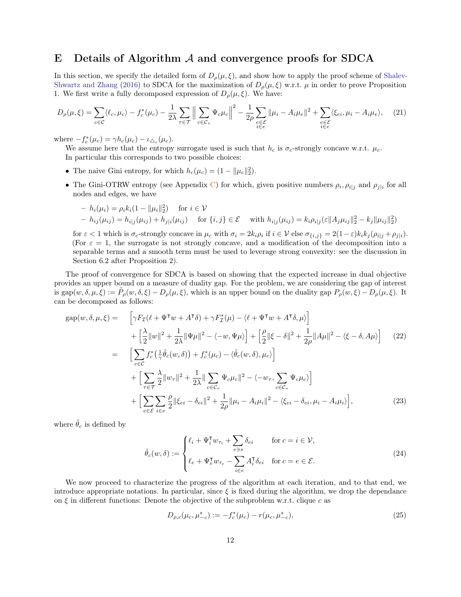### E Details of Algorithm  $A$  and convergence proofs for SDCA

In this section, we specify the detailed form of  $D_{\rho}(\mu, \xi)$ , and show how to apply the proof scheme of [Shalev-](#page-16-5)[Shwartz and Zhang](#page-16-5) [\(2016\)](#page-16-5) to SDCA for the maximization of  $D_{\rho}(\mu,\xi)$  w.r.t.  $\mu$  in order to prove Proposition 1. We first write a fully decomposed expression of  $D_{\rho}(\mu, \xi)$ . We have:

$$
D_{\rho}(\mu,\xi) = \sum_{c \in \mathcal{C}} \langle \ell_c, \mu_c \rangle - f_c^*(\mu_c) - \frac{1}{2\lambda} \sum_{\tau \in \mathcal{T}} \left\| \sum_{c \in \mathcal{C}_{\tau}} \Psi_c \mu_c \right\|^2 - \frac{1}{2\rho} \sum_{\substack{e \in \mathcal{E} \\ i \in e}} \|\mu_i - A_i \mu_e\|^2 + \sum_{\substack{e \in \mathcal{E} \\ i \in e}} \langle \xi_{ei}, \mu_i - A_i \mu_e \rangle, \tag{21}
$$

where  $-f_c^*(\mu_c) = \gamma h_c(\mu_c) - \iota_{\Delta_c}(\mu_c)$ .

We assume here that the entropy surrogate used is such that  $h_c$  is  $\sigma_c$ -strongly concave w.r.t.  $\mu_c$ . In particular this corresponds to two possible choices:

- The naive Gini entropy, for which  $h_c(\mu_c) = (1 ||\mu_c||_2^2)$ .
- The Gini-OTRW entropy (see Appendix [C\)](#page-4-0) for which, given positive numbers  $\rho_i$ ,  $\rho_{i|j}$  and  $\rho_{j|i}$  for all nodes and edges, we have

$$
- h_i(\mu_i) = \rho_i k_i (1 - ||\mu_i||_2^2) \quad \text{for } i \in \mathcal{V}
$$
  
-  $h_{ij}(\mu_{ij}) = h_{i|j}(\mu_{ij}) + h_{j|i}(\mu_{ij}) \quad \text{for } \{i, j\} \in \mathcal{E}$  with  $h_{i|j}(\mu_{ij}) = k_i \rho_{i|j}(\varepsilon ||A_j \mu_{ij}||_2^2 - k_j ||\mu_{ij}||_2^2)$ 

for  $\varepsilon < 1$  which is  $\sigma_c$ -strongly concave in  $\mu_c$  with  $\sigma_i = 2k_i \rho_i$  if  $i \in \mathcal{V}$  else  $\sigma_{\{i,j\}} = 2(1-\varepsilon)k_i k_j (\rho_{i|j} + \rho_{j|i}).$ (For  $\varepsilon = 1$ , the surrogate is not strongly concave, and a modification of the decomposition into a separable terms and a smooth term must be used to leverage strong convexity: see the discussion in Section 6.2 after Proposition 2).

The proof of convergence for SDCA is based on showing that the expected increase in dual objective provides an upper bound on a measure of duality gap. For the problem, we are considering the gap of interest is gap $(w, \delta, \mu, \xi) := \tilde{P}_{\rho}(w, \delta, \xi) - D_{\rho}(\mu, \xi)$ , which is an upper bound on the duality gap  $P_{\rho}(w, \xi) - D_{\rho}(\mu, \xi)$ . It can be decomposed as follows:

$$
gap(w, \delta, \mu, \xi) = \left[ \gamma F_{\mathcal{I}}(\ell + \Psi^{\mathsf{T}} w + A^{\mathsf{T}} \delta) + \gamma F_{\mathcal{I}}^{*}(\mu) - \langle \ell + \Psi^{\mathsf{T}} w + A^{\mathsf{T}} \delta, \mu \rangle \right] + \left[ \frac{\lambda}{2} ||w||^{2} + \frac{1}{2\lambda} ||\Psi\mu||^{2} - \langle -w, \Psi\mu \rangle \right] + \left[ \frac{\rho}{2} ||\xi - \delta||^{2} + \frac{1}{2\rho} ||A\mu||^{2} - \langle \xi - \delta, A\mu \rangle \right] \quad (22)
$$
  
= 
$$
\left[ \sum_{c \in \mathcal{C}} f_{c}^{*} \left( \frac{1}{\gamma} \tilde{\theta}_{c}(w, \delta) \right) + f_{c}^{*}(\mu_{c}) - \langle \tilde{\theta}_{c}(w, \delta), \mu_{c} \rangle \right] + \left[ \sum_{\tau \in \mathcal{T}} \frac{\lambda}{2} ||w_{\tau}||^{2} + \frac{1}{2\lambda} ||\sum_{c \in \mathcal{C}_{\tau}} \Psi_{c} \mu_{c}||^{2} - \langle -w_{\tau}, \sum_{c \in \mathcal{C}_{\tau}} \Psi_{c} \mu_{c} \rangle \right] + \left[ \sum_{e \in \mathcal{E}} \sum_{i \in e} \frac{\rho}{2} ||\xi_{ei} - \delta_{ei}||^{2} + \frac{1}{2\rho} ||\mu_{i} - A_{i}\mu_{i}||^{2} - \langle \xi_{ei} - \delta_{ei}, \mu_{i} - A_{i}\mu_{i} \rangle \right], \tag{23}
$$

where  $\tilde{\theta}_c$  is defined by

$$
\tilde{\theta}_c(w,\delta) := \begin{cases} \ell_i + \Psi_i^{\mathsf{T}} w_{\tau_i} + \sum_{e \ni s} \delta_{ei} & \text{for } c = i \in \mathcal{V}, \\ \ell_e + \Psi_e^{\mathsf{T}} w_{\tau_e} - \sum_{i \in e} A_i^{\mathsf{T}} \delta_{ei} & \text{for } c = e \in \mathcal{E}. \end{cases}
$$
\n
$$
(24)
$$

We now proceed to characterize the progress of the algorithm at each iteration, and to that end, we introduce appropriate notations. In particular, since  $\xi$  is fixed during the algorithm, we drop the dependance on  $\xi$  in different functions: Denote the objective of the subproblem w.r.t. clique c as

$$
D_{\rho,c}(\mu_c, \mu_{-c}^s) := -f_c^*(\mu_c) - r(\mu_c, \mu_{-c}^s),\tag{25}
$$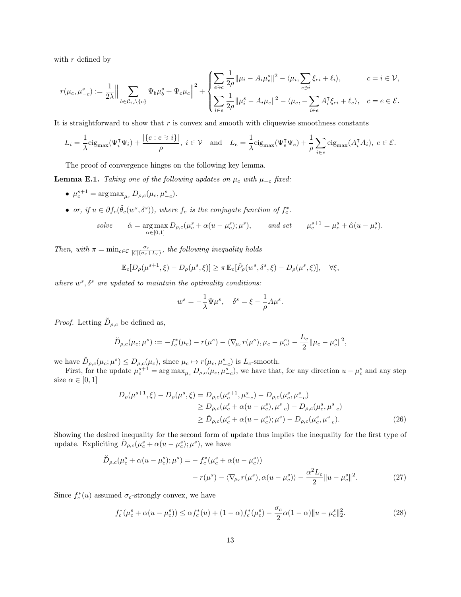with  $r$  defined by

$$
r(\mu_c, \mu_{-c}^s) := \frac{1}{2\lambda} \Big\| \sum_{b \in \mathcal{C}_{\tau_c} \backslash \{c\}} \Psi_b \mu_b^s + \Psi_c \mu_c \Big\|^2 + \begin{cases} \sum_{e \ni c} \frac{1}{2\rho} \|\mu_i - A_i \mu_e^s\|^2 - \langle \mu_i, \sum_{e \ni i} \xi_{ei} + \ell_i \rangle, & c = i \in \mathcal{V}, \\ \sum_{i \in e} \frac{1}{2\rho} \|\mu_i^s - A_i \mu_e\|^2 - \langle \mu_e, -\sum_{i \in e} A_i^{\mathsf{T}} \xi_{ei} + \ell_e \rangle, & c = e \in \mathcal{E}. \end{cases}
$$

It is straightforward to show that  $r$  is convex and smooth with cliquewise smoothness constants

$$
L_i = \frac{1}{\lambda} \text{eig}_{\text{max}}(\Psi_i^{\mathsf{T}} \Psi_i) + \frac{|\{e : e \ni i\}|}{\rho}, \ i \in \mathcal{V} \quad \text{and} \quad L_e = \frac{1}{\lambda} \text{eig}_{\text{max}}(\Psi_e^{\mathsf{T}} \Psi_e) + \frac{1}{\rho} \sum_{i \in e} \text{eig}_{\text{max}}(A_i^{\mathsf{T}} A_i), \ e \in \mathcal{E}.
$$

The proof of convergence hinges on the following key lemma.

**Lemma E.1.** Taking one of the following updates on  $\mu_c$  with  $\mu_{-c}$  fixed:

- $\mu_c^{s+1} = \arg \max_{\mu_c} D_{\rho,c}(\mu_c, \mu_{-c}^s)$ .
- or, if  $u \in \partial f_c(\tilde{\theta}_c(w^s, \delta^s))$ , where  $f_c$  is the conjugate function of  $f_c^*$ .

*solve* 
$$
\hat{\alpha} = \underset{\alpha \in [0,1]}{\arg \max} D_{\rho,c}(\mu_c^s + \alpha(u - \mu_c^s); \mu^s), \quad \text{and set} \quad \mu_c^{s+1} = \mu_c^s + \hat{\alpha}(u - \mu_c^s).
$$

Then, with  $\pi = \min_{c \in \mathcal{C}} \frac{\sigma_c}{|\mathcal{C}|(\sigma_c + L_c)}$ , the following inequality holds

$$
\mathbb{E}_c[D_\rho(\mu^{s+1}, \xi) - D_\rho(\mu^s, \xi)] \ge \pi \mathbb{E}_c[\tilde{P}_\rho(w^s, \delta^s, \xi) - D_\rho(\mu^s, \xi)], \quad \forall \xi,
$$

where  $w^s$ ,  $\delta^s$  are updated to maintain the optimality conditions:

<span id="page-12-0"></span>
$$
w^s = -\frac{1}{\lambda} \Psi \mu^s, \quad \delta^s = \xi - \frac{1}{\rho} A \mu^s.
$$

*Proof.* Letting  $\tilde{D}_{\rho,c}$  be defined as,

$$
\breve{D}_{\rho,c}(\mu_c; \mu^s) := -f_c^*(\mu_c) - r(\mu^s) - \langle \nabla_{\mu_c} r(\mu^s), \mu_c - \mu_c^s \rangle - \frac{L_c}{2} \|\mu_c - \mu_c^s\|^2,
$$

we have  $\check{D}_{\rho,c}(\mu_c;\mu^s) \leq D_{\rho,c}(\mu_c)$ , since  $\mu_c \mapsto r(\mu_c,\mu^s_{-c})$  is  $L_c$ -smooth.

First, for the update  $\mu_c^{s+1} = \arg \max_{\mu_c} D_{\rho,c}(\mu_c, \mu_{-c}^s)$ , we have that, for any direction  $u - \mu_c^s$  and any step size  $\alpha \in [0,1]$ 

$$
D_{\rho}(\mu^{s+1}, \xi) - D_{\rho}(\mu^{s}, \xi) = D_{\rho, c}(\mu_{c}^{s+1}, \mu_{-c}^{s}) - D_{\rho, c}(\mu_{c}^{s}, \mu_{-c}^{s})
$$
  
\n
$$
\geq D_{\rho, c}(\mu_{c}^{s} + \alpha(u - \mu_{c}^{s}), \mu_{-c}^{s}) - D_{\rho, c}(\mu_{c}^{s}, \mu_{-c}^{s})
$$
  
\n
$$
\geq \tilde{D}_{\rho, c}(\mu_{c}^{s} + \alpha(u - \mu_{c}^{s}); \mu^{s}) - D_{\rho, c}(\mu_{c}^{s}, \mu_{-c}^{s}).
$$
\n(26)

Showing the desired inequality for the second form of update thus implies the inequality for the first type of update. Expliciting  $\overrightarrow{D}_{\rho,c}(\mu_c^s + \alpha(u - \mu_c^s); \mu^s)$ , we have

$$
\tilde{D}_{\rho,c}(\mu_c^s + \alpha(u - \mu_c^s); \mu^s) = -f_c^*(\mu_c^s + \alpha(u - \mu_c^s)) \n- r(\mu^s) - \langle \nabla_{\mu_c} r(\mu^s), \alpha(u - \mu_c^s) \rangle - \frac{\alpha^2 L_c}{2} ||u - \mu_c^s||^2.
$$
\n(27)

Since  $f_c^*(u)$  assumed  $\sigma_c$ -strongly convex, we have

<span id="page-12-1"></span>
$$
f_c^*(\mu_c^s + \alpha(u - \mu_c^s)) \le \alpha f_c^*(u) + (1 - \alpha)f_c^*(\mu_c^s) - \frac{\sigma_c}{2}\alpha(1 - \alpha)\|u - \mu_c^s\|_2^2.
$$
 (28)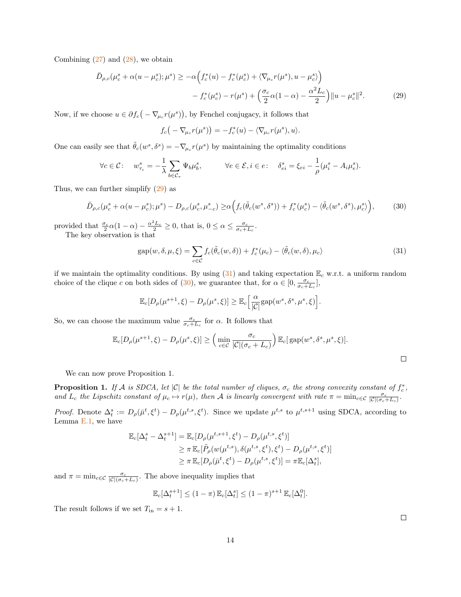Combining  $(27)$  and  $(28)$ , we obtain

$$
\breve{D}_{\rho,c}(\mu_c^s + \alpha(u - \mu_c^s); \mu^s) \ge -\alpha \Big( f_c^*(u) - f_c^*(\mu_c^s) + \langle \nabla_{\mu_c} r(\mu^s), u - \mu_c^s \rangle \Big) \n- f_c^*(\mu_c^s) - r(\mu^s) + \left( \frac{\sigma_c}{2} \alpha (1 - \alpha) - \frac{\alpha^2 L_c}{2} \right) ||u - \mu_c^s||^2.
$$
\n(29)

Now, if we choose  $u \in \partial f_c(-\nabla_{\mu_c}r(\mu^s)),$  by Fenchel conjugacy, it follows that

<span id="page-13-2"></span><span id="page-13-0"></span>
$$
f_c(-\nabla_{\mu_c}r(\mu^s))=-f_c^*(u)-\langle\nabla_{\mu_c}r(\mu^s),u\rangle.
$$

One can easily see that  $\tilde{\theta}_c(w^s, \delta^s) = -\nabla_{\mu_c} r(\mu^s)$  by maintaining the optimality conditions

$$
\forall c \in \mathcal{C}: \quad w^s_{\tau_c} = -\frac{1}{\lambda} \sum_{b \in \mathcal{C}_{\tau}} \Psi_b \mu^s_b, \qquad \forall e \in \mathcal{E}, i \in e: \quad \delta^s_{ei} = \xi_{ei} - \frac{1}{\rho} (\mu^s_i - A_i \mu^s_e).
$$

Thus, we can further simplify [\(29\)](#page-13-0) as

$$
\breve{D}_{\rho,c}(\mu_c^s + \alpha(u - \mu_c^s); \mu^s) - D_{\rho,c}(\mu_c^s, \mu_{-c}^s) \ge \alpha \Big( f_c(\tilde{\theta}_c(w^s, \delta^s)) + f_c^*(\mu_c^s) - \langle \tilde{\theta}_c(w^s, \delta^s), \mu_c^s \rangle \Big),\tag{30}
$$

provided that  $\frac{\sigma_c}{2} \alpha (1 - \alpha) - \frac{\alpha^2 L_c}{2} \ge 0$ , that is,  $0 \le \alpha \le \frac{\sigma_c}{\sigma_c + L_c}$ .

The key observation is that

<span id="page-13-1"></span>
$$
gap(w, \delta, \mu, \xi) = \sum_{c \in \mathcal{C}} f_c(\tilde{\theta}_c(w, \delta)) + f_c^*(\mu_c) - \langle \tilde{\theta}_c(w, \delta), \mu_c \rangle
$$
\n(31)

if we maintain the optimality conditions. By using  $(31)$  and taking expectation  $\mathbb{E}_c$  w.r.t. a uniform random choice of the clique c on both sides of [\(30\)](#page-13-2), we guarantee that, for  $\alpha \in [0, \frac{\sigma_c}{\sigma_c + L_c}]$ ,

$$
\mathbb{E}_c[D_\rho(\mu^{s+1}, \xi) - D_\rho(\mu^s, \xi)] \ge \mathbb{E}_c\Big[\frac{\alpha}{|\mathcal{C}|}\text{gap}(w^s, \delta^s, \mu^s, \xi)\Big].
$$

So, we can choose the maximum value  $\frac{\sigma_c}{\sigma_c+L_c}$  for  $\alpha$ . It follows that

$$
\mathbb{E}_c[D_\rho(\mu^{s+1}, \xi) - D_\rho(\mu^s, \xi)] \ge \left(\min_{c \in \mathcal{C}} \frac{\sigma_c}{|\mathcal{C}|(\sigma_c + L_c)}\right) \mathbb{E}_c[\text{gap}(w^s, \delta^s, \mu^s, \xi)].
$$

We can now prove Proposition 1.

**Proposition 1.** If A is SDCA, let  $|C|$  be the total number of cliques,  $\sigma_c$  the strong convexity constant of  $f_c^*$ , and  $L_c$  the Lipschitz constant of  $\mu_c \mapsto r(\mu)$ , then A is linearly convergent with rate  $\pi = \min_{c \in \mathcal{C}} \frac{\sigma_c}{|\mathcal{C}|(\sigma_c + L_c)}$ .

*Proof.* Denote  $\Delta_t^s := D_\rho(\bar{\mu}^t, \xi^t) - D_\rho(\mu^{t,s}, \xi^t)$ . Since we update  $\mu^{t,s}$  to  $\mu^{t,s+1}$  using SDCA, according to Lemma [E.1,](#page-6-2) we have

$$
\mathbb{E}_c[\Delta_t^s - \Delta_t^{s+1}] = \mathbb{E}_c[D_\rho(\mu^{t,s+1}, \xi^t) - D_\rho(\mu^{t,s}, \xi^t)] \n\ge \pi \mathbb{E}_c[\tilde{P}_\rho(w(\mu^{t,s}), \delta(\mu^{t,s}, \xi^t), \xi^t) - D_\rho(\mu^{t,s}, \xi^t)] \n\ge \pi \mathbb{E}_c[D_\rho(\bar{\mu}^t, \xi^t) - D_\rho(\mu^{t,s}, \xi^t)] = \pi \mathbb{E}_c[\Delta_t^s],
$$

and  $\pi = \min_{c \in \mathcal{C}} \frac{\sigma_c}{|\mathcal{C}|(\sigma_c + L_c)}$ . The above inequality implies that

$$
\mathbb{E}_c[\Delta_t^{s+1}] \le (1-\pi) \mathbb{E}_c[\Delta_t^s] \le (1-\pi)^{s+1} \mathbb{E}_c[\Delta_t^0].
$$

The result follows if we set  $T_{\text{in}} = s + 1$ .

 $\Box$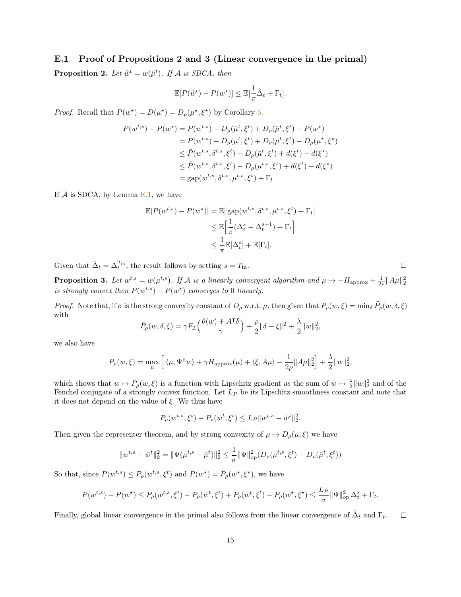### E.1 Proof of Propositions 2 and 3 (Linear convergence in the primal)

<span id="page-14-0"></span>**Proposition 2.** Let  $\hat{w}^t = w(\hat{\mu}^t)$ . If A is SDCA, then

$$
\mathbb{E}[P(\hat{w}^t) - P(w^\star)] \le \mathbb{E}[\frac{1}{\pi}\hat{\Delta}_t + \Gamma_t].
$$

*Proof.* Recall that  $P(w^*) = D(\mu^*) = D_\rho(\mu^*, \xi^*)$  by Corollary [5.](#page-3-1)

$$
P(w^{t,s}) - P(w^*) = P(w^{t,s}) - D_{\rho}(\bar{\mu}^t, \xi^t) + D_{\rho}(\bar{\mu}^t, \xi^t) - P(w^*)
$$
  
=  $P(w^{t,s}) - D_{\rho}(\bar{\mu}^t, \xi^t) + D_{\rho}(\bar{\mu}^t, \xi^t) - D_{\rho}(\mu^*, \xi^*)$   
 $\leq \tilde{P}(w^{t,s}, \delta^{t,s}, \xi^t) - D_{\rho}(\bar{\mu}^t, \xi^t) + d(\xi^t) - d(\xi^*)$   
 $\leq \tilde{P}(w^{t,s}, \delta^{t,s}, \xi^t) - D_{\rho}(\mu^{t,s}, \xi^t) + d(\xi^t) - d(\xi^*)$   
=  $gap(w^{t,s}, \delta^{t,s}, \mu^{t,s}, \xi^t) + \Gamma_t$ 

If  $A$  is SDCA, by Lemma [E.1,](#page-6-2) we have

$$
\mathbb{E}[P(w^{t,s}) - P(w^\star)] = \mathbb{E}[\text{gap}(w^{t,s}, \delta^{t,s}, \mu^{t,s}, \xi^t) + \Gamma_t]
$$
  

$$
\leq \mathbb{E}\left[\frac{1}{\pi}(\Delta_t^s - \Delta_t^{s+1}) + \Gamma_t\right]
$$
  

$$
\leq \frac{1}{\pi}\mathbb{E}[\Delta_t^s] + \mathbb{E}[\Gamma_t].
$$

Given that  $\hat{\Delta}_t = \Delta_t^{T_{\text{in}}},$  the result follows by setting  $s = T_{\text{in}}.$ 

**Proposition 3.** Let  $w^{t,s} = w(\mu^{t,s})$ . If A is a linearly convergent algorithm and  $\mu \mapsto -H_{\text{approx}} + \frac{1}{2\rho} ||A\mu||_2^2$ is strongly convex then  $P(w^{t,s}) - P(w^{\star})$  converges to 0 linearly.

*Proof.* Note that, if  $\sigma$  is the strong convexity constant of  $D_\rho$  w.r.t.  $\mu$ , then given that  $P_\rho(w,\xi) = \min_{\delta} \tilde{P}_\rho(w,\delta,\xi)$ with

$$
\tilde{P}_{\rho}(w,\delta,\xi) = \gamma F_{\mathcal{I}}\left(\frac{\theta(w) + A^{\mathsf{T}}\delta}{\gamma}\right) + \frac{\rho}{2} \|\delta - \xi\|^2 + \frac{\lambda}{2} \|w\|_2^2,
$$

we also have

$$
P_\rho(w,\xi) = \max_\mu \Big[\, \langle \mu, \Psi^\intercal w \rangle + \gamma H_\text{approx}(\mu) + \langle \xi, A \mu \rangle - \frac{1}{2\rho} \|A\mu\|_2^2 \Big] + \frac{\lambda}{2} \|w\|_2^2,
$$

which shows that  $w \mapsto P_{\rho}(w, \xi)$  is a function with Lipschitz gradient as the sum of  $w \mapsto \frac{\lambda}{2} ||w||_2^2$  and of the Fenchel conjugate of a strongly convex function. Let  $L_P$  be its Lipschitz smoothness constant and note that it does not depend on the value of  $\xi$ . We thus have

$$
P_{\rho}(w^{t,s}, \xi^t) - P_{\rho}(\bar{w}^t, \xi^t) \le L_P \|w^{t,s} - \bar{w}^t\|_2^2.
$$

Then given the representer theorem, and by strong convexity of  $\mu \mapsto D_{\rho}(\mu, \xi)$  we have

$$
||w^{t,s} - \bar{w}^t||_2^2 = ||\Psi(\mu^{t,s} - \bar{\mu}^t)||_2^2 \le \frac{1}{\sigma} ||\Psi||_{op}^2(D_\rho(\mu^{t,s}, \xi^t) - D_\rho(\bar{\mu}^t, \xi^t))
$$

So that, since  $P(w^{t,s}) \le P_\rho(w^{t,s}, \xi^t)$  and  $P(w^*) = P_\rho(w^*, \xi^*)$ , we have

$$
P(w^{t,s}) - P(w^*) \le P_\rho(w^{t,s}, \xi^t) - P_\rho(\bar{w}^t, \xi^t) + P_\rho(\bar{w}^t, \xi^t) - P_\rho(w^*, \xi^*) \le \frac{L_P}{\sigma} \|\Psi\|_{\text{op}}^2 \Delta_t^s + \Gamma_t.
$$

Finally, global linear convergence in the primal also follows from the linear convergence of  $\hat{\Delta}_t$  and  $\Gamma_t$ .  $\Box$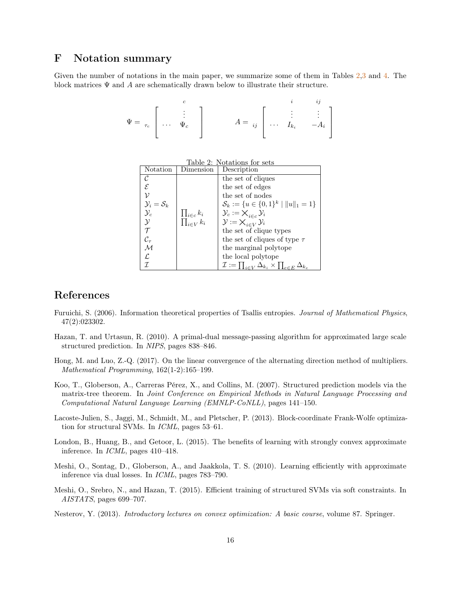### F Notation summary

<span id="page-15-9"></span>Given the number of notations in the main paper, we summarize some of them in Tables [2,](#page-15-9)[3](#page-16-6) and [4.](#page-16-7) The block matrices  $\Psi$  and  $A$  are schematically drawn below to illustrate their structure.

$$
\Psi = \tau_c \left[ \begin{array}{c} c \\ \vdots \\ \vdots \\ \vdots \end{array} \right] \qquad A = \begin{array}{c} i \\ \vdots \\ i \end{array} \left[ \begin{array}{c} i \\ \vdots \\ \vdots \\ \vdots \end{array} \right]
$$

| Table 2: Notations for sets     |                                               |                                                                                   |  |  |
|---------------------------------|-----------------------------------------------|-----------------------------------------------------------------------------------|--|--|
| Notation                        | Dimension                                     | Description                                                                       |  |  |
| C                               |                                               | the set of cliques                                                                |  |  |
| E.                              |                                               | the set of edges                                                                  |  |  |
|                                 |                                               | the set of nodes                                                                  |  |  |
| $\mathcal{Y}_i = \mathcal{S}_k$ |                                               | $\mathcal{S}_k := \{u \in \{0,1\}^k \mid   u  _1 = 1\}$                           |  |  |
| $\mathcal{Y}_c$                 |                                               | $\mathcal{Y}_c := \bigtimes_{i \in c} \mathcal{Y}_i$                              |  |  |
| $\mathcal{Y}$                   | $\frac{\prod_{i\in c}k_i}{\prod_{i\in V}k_i}$ | $\mathcal{Y} := \mathsf{X}_{i \in V} \mathcal{Y}_i$                               |  |  |
|                                 |                                               | the set of clique types                                                           |  |  |
| $\mathcal{C}_{\bm{\tau}}$       |                                               | the set of cliques of type $\tau$                                                 |  |  |
| $\mathcal{M}$                   |                                               | the marginal polytope                                                             |  |  |
| ſ.                              |                                               | the local polytope                                                                |  |  |
|                                 |                                               | $\mathcal{I} := \prod_{i \in V} \Delta_{k_i} \times \prod_{e \in E} \Delta_{k_e}$ |  |  |

### References

- <span id="page-15-6"></span>Furuichi, S. (2006). Information theoretical properties of Tsallis entropies. Journal of Mathematical Physics, 47(2):023302.
- <span id="page-15-0"></span>Hazan, T. and Urtasun, R. (2010). A primal-dual message-passing algorithm for approximated large scale structured prediction. In NIPS, pages 838–846.
- <span id="page-15-7"></span>Hong, M. and Luo, Z.-Q. (2017). On the linear convergence of the alternating direction method of multipliers. Mathematical Programming, 162(1-2):165–199.
- <span id="page-15-5"></span>Koo, T., Globerson, A., Carreras Pérez, X., and Collins, M. (2007). Structured prediction models via the matrix-tree theorem. In Joint Conference on Empirical Methods in Natural Language Processing and Computational Natural Language Learning (EMNLP-CoNLL), pages 141–150.
- <span id="page-15-2"></span>Lacoste-Julien, S., Jaggi, M., Schmidt, M., and Pletscher, P. (2013). Block-coordinate Frank-Wolfe optimization for structural SVMs. In ICML, pages 53–61.
- <span id="page-15-4"></span>London, B., Huang, B., and Getoor, L. (2015). The benefits of learning with strongly convex approximate inference. In ICML, pages 410–418.
- <span id="page-15-1"></span>Meshi, O., Sontag, D., Globerson, A., and Jaakkola, T. S. (2010). Learning efficiently with approximate inference via dual losses. In ICML, pages 783–790.
- <span id="page-15-3"></span>Meshi, O., Srebro, N., and Hazan, T. (2015). Efficient training of structured SVMs via soft constraints. In AISTATS, pages 699–707.
- <span id="page-15-8"></span>Nesterov, Y. (2013). Introductory lectures on convex optimization: A basic course, volume 87. Springer.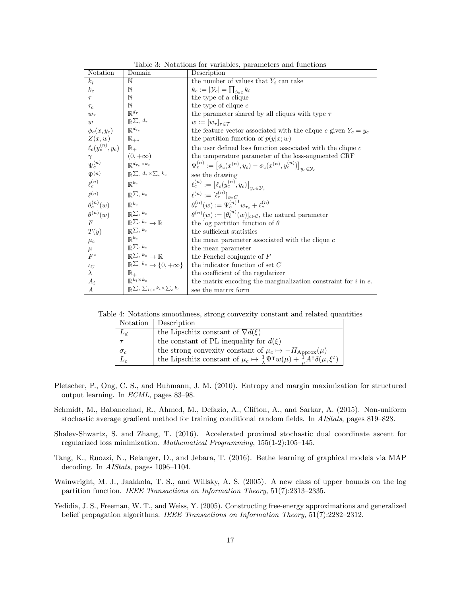<span id="page-16-6"></span>

| Notation                                                                                          | Domain                                                        | Description                                                                                           |
|---------------------------------------------------------------------------------------------------|---------------------------------------------------------------|-------------------------------------------------------------------------------------------------------|
| $k_i$                                                                                             | N                                                             | the number of values that $Y_i$ can take                                                              |
| $k_c$                                                                                             | N                                                             | $k_c :=  \mathcal{Y}_c  = \prod_{i \in c} k_i$                                                        |
| $\tau$                                                                                            | N                                                             | the type of a clique                                                                                  |
| $\tau_c$                                                                                          | N                                                             | the type of clique $c$                                                                                |
| $w_{\tau}$                                                                                        | $\mathbb{R}^{d_{\tau}}$                                       | the parameter shared by all cliques with type $\tau$                                                  |
| w                                                                                                 | $\mathbb{R}^{\sum_{\tau} d_{\tau}}$                           | $w :=  w_\tau _{\tau \in \mathcal{T}}$                                                                |
| $\phi_c(x, y_c)$ $\Big  \mathbb{R}^{d_{\tau_c}}$                                                  |                                                               | the feature vector associated with the clique c given $Y_c = y_c$                                     |
|                                                                                                   |                                                               | the partition function of $p(y x; w)$                                                                 |
| $\left. \begin{array}{l} Z(x,w) \\ \ell_c(y_c^{(n)},y_c) \end{array} \right  \; \mathbb{R}_{+^*}$ |                                                               | the user defined loss function associated with the clique $c$                                         |
|                                                                                                   |                                                               | the temperature parameter of the loss-augmented CRF                                                   |
| $\gamma$ $\Psi_c^{(n)}$ $\mathbb{R}^{d_{\tau_c} \times k_c}$                                      |                                                               | $\Psi_c^{(n)} := \big[\phi_c(x^{(n)}, y_c) - \phi_c(x^{(n)}, y_c^{(n)})\big]_{y_c \in \mathcal{Y}_c}$ |
| $\Psi^{(n)}$                                                                                      | $\big  \mathbb{R} \sum_{\tau} d_{\tau} \times \sum_{c} k_{c}$ | see the drawing                                                                                       |
| $\ell_c^{(n)}$                                                                                    | $\mathbb{R}^{k_c}$                                            | $\ell_c^{(n)} := \big[\ell_c(y_c^{(n)}, y_c)\big]_{y_c \in \mathcal{Y}_c}$                            |
| $\rho(n)$                                                                                         | $\big  \mathbb{R}^{\sum_{c} k_c}$                             | $\ell^{(n)} := [\ell_c^{(n)}]_{c \in C}$                                                              |
| $\theta_c^{(n)}(w)$ $\left  \begin{array}{c} \mathbb{R}^{k_c} \end{array} \right.$                |                                                               | $\theta_c^{(n)}(w) := \Psi_c^{(n)\mathsf{T}} w_{\tau_c} + \ell_c^{(n)}$                               |
| $\theta^{(n)}(w)$                                                                                 | $\mathbb{R}^{\sum_{c} k_c}$                                   | $\theta^{(n)}(w) := [\theta_c^{(n)}(w)]_{c \in \mathcal{C}}$ , the natural parameter                  |
| F                                                                                                 | $\mathbb{R}^{\sum_{c} k_c} \to \mathbb{R}$                    | the log partition function of $\theta$                                                                |
| T(y)                                                                                              | $\mathbb{R}^{\sum_{c} k_c}$                                   | the sufficient statistics                                                                             |
| $\mu_c$                                                                                           | $\mathbb{R}^{k_c}$                                            | the mean parameter associated with the clique c                                                       |
| $\mu$                                                                                             | $\mathbb{R}^{\sum_{c} k_c}$                                   | the mean parameter                                                                                    |
| $F^*$                                                                                             | $\mathbb{R}^{\sum_{c} k_c} \to \mathbb{R}$                    | the Fenchel conjugate of $F$                                                                          |
| $\iota_C$                                                                                         | $\mathbb{R}^{\sum_{c} k_c} \to \{0, +\infty\}$                | the indicator function of set $C$                                                                     |
| $\lambda$                                                                                         | $\mathbb{R}^+$                                                | the coefficient of the regularizer                                                                    |
| $A_i$                                                                                             | $\mathbb{R}^{k_i \times k_e}$                                 | the matrix encoding the marginalization constraint for $i$ in $e$ .                                   |
| А                                                                                                 | $\mathbb{R}^{\sum_{e}\sum_{i \in e} k_i \times \sum_{c} k_c}$ | see the matrix form                                                                                   |

<span id="page-16-7"></span>Table 4: Notations smoothness, strong convexity constant and related quantities

| Notation   | Description                                                                                                                    |
|------------|--------------------------------------------------------------------------------------------------------------------------------|
| $L_d$      | the Lipschitz constant of $\nabla d(\xi)$                                                                                      |
|            | the constant of PL inequality for $d(\xi)$                                                                                     |
| $\sigma_c$ | the strong convexity constant of $\mu_c \mapsto -H_{\text{Approx}}(\mu)$                                                       |
|            | the Lipschitz constant of $\mu_c \mapsto \frac{1}{\lambda} \Psi^{\dagger} w(\mu) + \frac{1}{a} A^{\dagger} \delta(\mu, \xi^t)$ |

- <span id="page-16-0"></span>Pletscher, P., Ong, C. S., and Buhmann, J. M. (2010). Entropy and margin maximization for structured output learning. In ECML, pages 83–98.
- <span id="page-16-1"></span>Schmidt, M., Babanezhad, R., Ahmed, M., Defazio, A., Clifton, A., and Sarkar, A. (2015). Non-uniform stochastic average gradient method for training conditional random fields. In AIStats, pages 819–828.
- <span id="page-16-5"></span>Shalev-Shwartz, S. and Zhang, T. (2016). Accelerated proximal stochastic dual coordinate ascent for regularized loss minimization. Mathematical Programming, 155(1-2):105–145.
- <span id="page-16-2"></span>Tang, K., Ruozzi, N., Belanger, D., and Jebara, T. (2016). Bethe learning of graphical models via MAP decoding. In AIStats, pages 1096–1104.
- <span id="page-16-4"></span>Wainwright, M. J., Jaakkola, T. S., and Willsky, A. S. (2005). A new class of upper bounds on the log partition function. IEEE Transactions on Information Theory, 51(7):2313–2335.
- <span id="page-16-3"></span>Yedidia, J. S., Freeman, W. T., and Weiss, Y. (2005). Constructing free-energy approximations and generalized belief propagation algorithms. IEEE Transactions on Information Theory, 51(7):2282-2312.